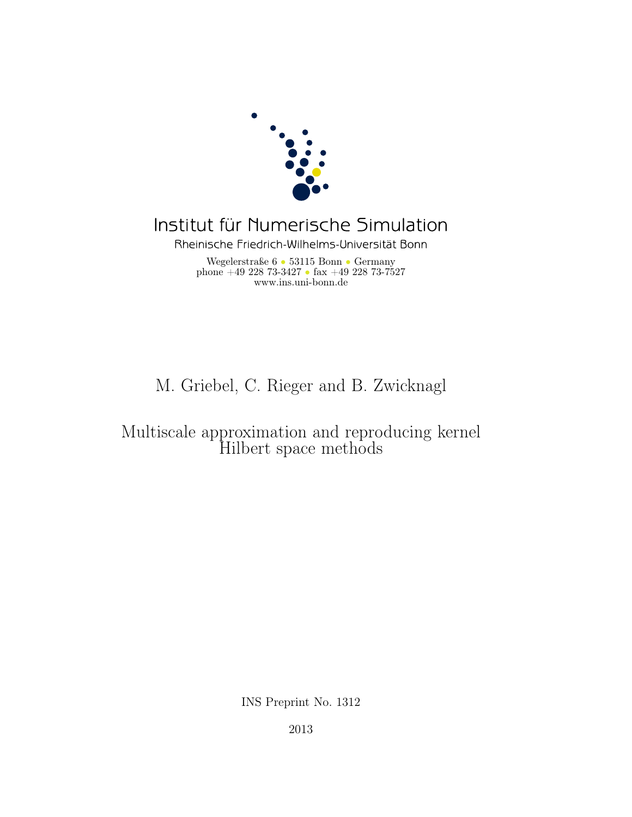

# Institut für Numerische Simulation

Rheinische Friedrich-Wilhelms-Universität Bonn

Wegelerstraße 6 • 53115 Bonn • Germany phone  $+49\ 228\ 73-3427$  • fax  $+49\ 228\ 73-7527$ www.ins.uni-bonn.de

## M. Griebel, C. Rieger and B. Zwicknagl

## Multiscale approximation and reproducing kernel Hilbert space methods

INS Preprint No. 1312

2013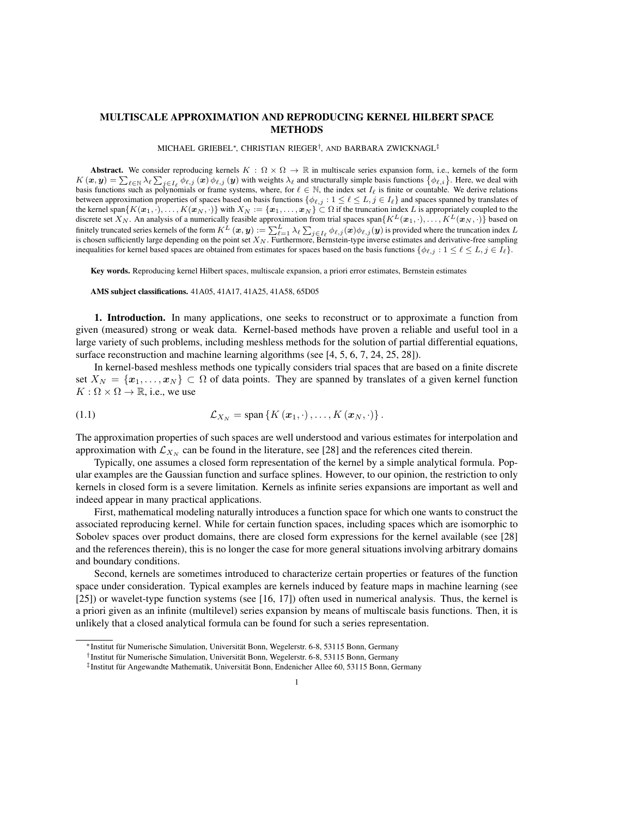### MULTISCALE APPROXIMATION AND REPRODUCING KERNEL HILBERT SPACE METHODS

MICHAEL GRIEBEL⇤, CHRISTIAN RIEGER*†*, AND BARBARA ZWICKNAGL*‡*

Abstract. We consider reproducing kernels  $K : \Omega \times \Omega \to \mathbb{R}$  in multiscale series expansion form, i.e., kernels of the form  $K(\mathbf{x}, \mathbf{y}) = \sum_{\ell \in \mathbb{N}} \lambda_{\ell} \sum_{j \in I_{\ell}} \phi_{\ell, j}(\mathbf{x}) \phi_{\ell, j}(\mathbf{y})$  with weights  $\lambda_{\ell}$  and structurally simple basis functions  $\{\phi_{\ell, i}\}$ . Here, we deal with basis functions such as polynomials or frame systems, where, for  $\ell \in \mathbb{N}$ , the index set  $I_\ell$  is finite or countable. We derive relations between approximation properties of spaces based on basis functions  $\{\phi_{\ell,j} : 1 \leq \ell \leq L, j \in I_{\ell}\}\$  and spaces spanned by translates of the kernel span $\{K(\boldsymbol{x}_1,\cdot),\ldots,K(\boldsymbol{x}_N,\cdot)\}\$  with  $X_N:=\{\boldsymbol{x}_1,\ldots,\boldsymbol{x}_N\}\subset\Omega$  if the truncation index L is appropriately coupled to the discrete set  $X_N$ . An analysis of a numerically feasible approximation from trial spaces span $\{K^L(\bm{x}_1,\cdot),\ldots,K^L(\bm{x}_N,\cdot)\}$  based on finitely truncated series kernels of the form  $K^L(x, y) := \sum_{\ell=1}^L \lambda_\ell \sum_{j \in I_\ell} \phi_{\ell, j}(x) \phi_{\ell, j}(y)$  is provided where the truncation index *L* is chosen sufficiently large depending on the point set *X<sup>N</sup>* . Furthermore, Bernstein-type inverse estimates and derivative-free sampling inequalities for kernel based spaces are obtained from estimates for spaces based on the basis functions  $\{\phi_{\ell,j} : 1 \leq \ell \leq L, j \in I_{\ell}\}.$ 

Key words. Reproducing kernel Hilbert spaces, multiscale expansion, a priori error estimates, Bernstein estimates

AMS subject classifications. 41A05, 41A17, 41A25, 41A58, 65D05

1. Introduction. In many applications, one seeks to reconstruct or to approximate a function from given (measured) strong or weak data. Kernel-based methods have proven a reliable and useful tool in a large variety of such problems, including meshless methods for the solution of partial differential equations, surface reconstruction and machine learning algorithms (see [4, 5, 6, 7, 24, 25, 28]).

In kernel-based meshless methods one typically considers trial spaces that are based on a finite discrete set  $X_N = \{x_1, \ldots, x_N\} \subset \Omega$  of data points. They are spanned by translates of a given kernel function  $K: \Omega \times \Omega \rightarrow \mathbb{R}$ , i.e., we use

(1.1) 
$$
\mathcal{L}_{X_N} = \text{span}\left\{K\left(\boldsymbol{x}_1,\cdot\right),\ldots,K\left(\boldsymbol{x}_N,\cdot\right)\right\}.
$$

The approximation properties of such spaces are well understood and various estimates for interpolation and approximation with  $\mathcal{L}_{X_N}$  can be found in the literature, see [28] and the references cited therein.

Typically, one assumes a closed form representation of the kernel by a simple analytical formula. Popular examples are the Gaussian function and surface splines. However, to our opinion, the restriction to only kernels in closed form is a severe limitation. Kernels as infinite series expansions are important as well and indeed appear in many practical applications.

First, mathematical modeling naturally introduces a function space for which one wants to construct the associated reproducing kernel. While for certain function spaces, including spaces which are isomorphic to Sobolev spaces over product domains, there are closed form expressions for the kernel available (see [28] and the references therein), this is no longer the case for more general situations involving arbitrary domains and boundary conditions.

Second, kernels are sometimes introduced to characterize certain properties or features of the function space under consideration. Typical examples are kernels induced by feature maps in machine learning (see [25]) or wavelet-type function systems (see [16, 17]) often used in numerical analysis. Thus, the kernel is a priori given as an infinite (multilevel) series expansion by means of multiscale basis functions. Then, it is unlikely that a closed analytical formula can be found for such a series representation.

<sup>\*</sup> Institut für Numerische Simulation, Universität Bonn, Wegelerstr. 6-8, 53115 Bonn, Germany

<sup>&</sup>lt;sup>†</sup>Institut für Numerische Simulation, Universität Bonn, Wegelerstr. 6-8, 53115 Bonn, Germany

<sup>&</sup>lt;sup>‡</sup>Institut für Angewandte Mathematik, Universität Bonn, Endenicher Allee 60, 53115 Bonn, Germany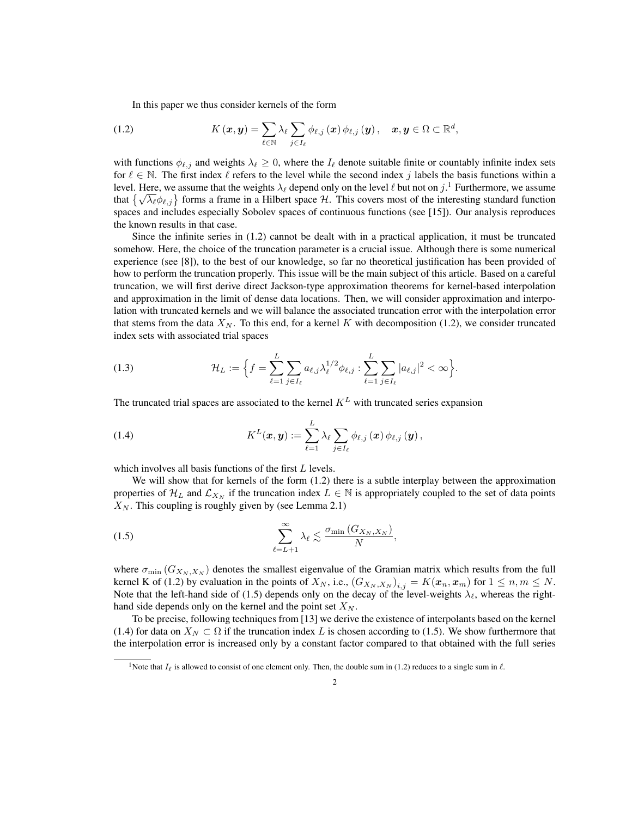In this paper we thus consider kernels of the form

(1.2) 
$$
K(\boldsymbol{x}, \boldsymbol{y}) = \sum_{\ell \in \mathbb{N}} \lambda_{\ell} \sum_{j \in I_{\ell}} \phi_{\ell, j}(\boldsymbol{x}) \phi_{\ell, j}(\boldsymbol{y}), \quad \boldsymbol{x}, \boldsymbol{y} \in \Omega \subset \mathbb{R}^d,
$$

with functions  $\phi_{\ell,j}$  and weights  $\lambda_\ell \geq 0$ , where the  $I_\ell$  denote suitable finite or countably infinite index sets for  $\ell \in \mathbb{N}$ . The first index  $\ell$  refers to the level while the second index *j* labels the basis functions within a level. Here, we assume that the weights  $\lambda_\ell$  depend only on the level  $\ell$  but not on  $j$ .<sup>1</sup> Furthermore, we assume that  $\{\sqrt{\lambda_\ell} \phi_{\ell,j}\}$  forms a frame in a Hilbert space *H*. This covers most of the interesting standard function spaces and includes especially Sobolev spaces of continuous functions (see [15]). Our analysis reproduces the known results in that case.

Since the infinite series in (1.2) cannot be dealt with in a practical application, it must be truncated somehow. Here, the choice of the truncation parameter is a crucial issue. Although there is some numerical experience (see [8]), to the best of our knowledge, so far no theoretical justification has been provided of how to perform the truncation properly. This issue will be the main subject of this article. Based on a careful truncation, we will first derive direct Jackson-type approximation theorems for kernel-based interpolation and approximation in the limit of dense data locations. Then, we will consider approximation and interpolation with truncated kernels and we will balance the associated truncation error with the interpolation error that stems from the data  $X_N$ . To this end, for a kernel K with decomposition (1.2), we consider truncated index sets with associated trial spaces

(1.3) 
$$
\mathcal{H}_L := \Big\{ f = \sum_{\ell=1}^L \sum_{j \in I_\ell} a_{\ell,j} \lambda_\ell^{1/2} \phi_{\ell,j} : \sum_{\ell=1}^L \sum_{j \in I_\ell} |a_{\ell,j}|^2 < \infty \Big\}.
$$

The truncated trial spaces are associated to the kernel  $K^L$  with truncated series expansion

(1.4) 
$$
K^{L}(\boldsymbol{x},\boldsymbol{y}):=\sum_{\ell=1}^{L}\lambda_{\ell}\sum_{j\in I_{\ell}}\phi_{\ell,j}(\boldsymbol{x})\,\phi_{\ell,j}(\boldsymbol{y}),
$$

which involves all basis functions of the first *L* levels.

We will show that for kernels of the form  $(1.2)$  there is a subtle interplay between the approximation properties of  $\mathcal{H}_L$  and  $\mathcal{L}_{X_N}$  if the truncation index  $L \in \mathbb{N}$  is appropriately coupled to the set of data points  $X_N$ . This coupling is roughly given by (see Lemma 2.1)

$$
\sum_{\ell=L+1}^{\infty} \lambda_{\ell} \lesssim \frac{\sigma_{\min}(G_{X_N,X_N})}{N},
$$

where  $\sigma_{\min}$  ( $G_{X_N, X_N}$ ) denotes the smallest eigenvalue of the Gramian matrix which results from the full kernel K of (1.2) by evaluation in the points of  $X_N$ , i.e.,  $(G_{X_N,X_N})_{i,j} = K(x_n,x_m)$  for  $1 \leq n, m \leq N$ . Note that the left-hand side of (1.5) depends only on the decay of the level-weights  $\lambda_{\ell}$ , whereas the righthand side depends only on the kernel and the point set  $X_N$ .

To be precise, following techniques from [13] we derive the existence of interpolants based on the kernel (1.4) for data on  $X_N \subset \Omega$  if the truncation index L is chosen according to (1.5). We show furthermore that the interpolation error is increased only by a constant factor compared to that obtained with the full series

<sup>&</sup>lt;sup>1</sup>Note that  $I_\ell$  is allowed to consist of one element only. Then, the double sum in (1.2) reduces to a single sum in  $\ell$ .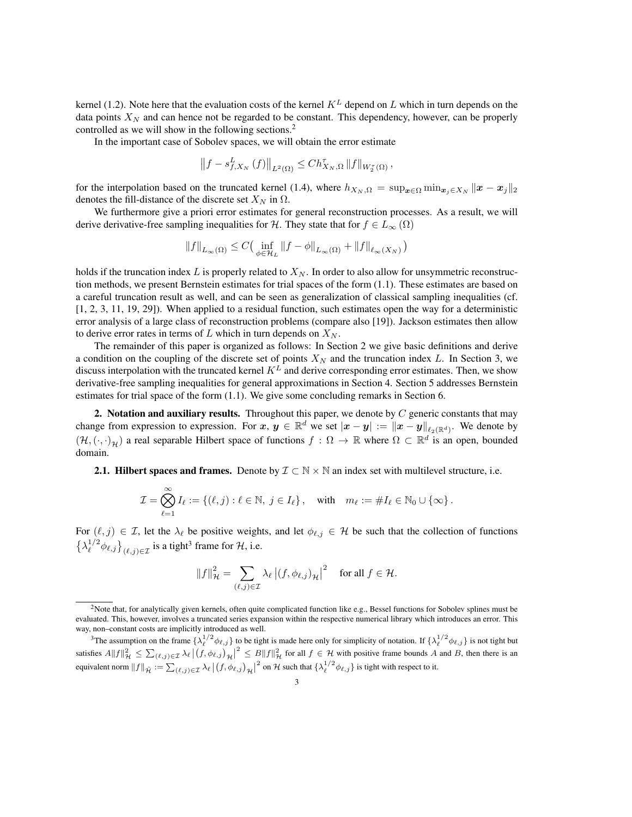kernel (1.2). Note here that the evaluation costs of the kernel  $K^L$  depend on *L* which in turn depends on the data points  $X_N$  and can hence not be regarded to be constant. This dependency, however, can be properly controlled as we will show in the following sections.<sup>2</sup>

In the important case of Sobolev spaces, we will obtain the error estimate

$$
\left\|f-s_{f,X_N}^L\left(f\right)\right\|_{L^2\left(\Omega\right)}\leq Ch_{X_N,\Omega}^{\tau}\left\|f\right\|_{W_2^{\tau}\left(\Omega\right)},
$$

for the interpolation based on the truncated kernel (1.4), where  $h_{X_N,\Omega} = \sup_{x\in\Omega} \min_{x_i\in X_N} ||x - x_j||_2$ denotes the fill-distance of the discrete set  $X_N$  in  $\Omega$ .

We furthermore give a priori error estimates for general reconstruction processes. As a result, we will derive derivative-free sampling inequalities for *H*. They state that for  $f \in L_{\infty}(\Omega)$ 

$$
\left\|f\right\|_{L_\infty(\Omega)} \leq C\big(\inf_{\phi\in\mathcal{H}_L}\|f-\phi\|_{L_\infty(\Omega)}+\|f\|_{\ell_\infty(X_N)}\big)
$$

holds if the truncation index  $L$  is properly related to  $X_N$ . In order to also allow for unsymmetric reconstruction methods, we present Bernstein estimates for trial spaces of the form (1.1). These estimates are based on a careful truncation result as well, and can be seen as generalization of classical sampling inequalities (cf. [1, 2, 3, 11, 19, 29]). When applied to a residual function, such estimates open the way for a deterministic error analysis of a large class of reconstruction problems (compare also [19]). Jackson estimates then allow to derive error rates in terms of  $L$  which in turn depends on  $X_N$ .

The remainder of this paper is organized as follows: In Section 2 we give basic definitions and derive a condition on the coupling of the discrete set of points  $X_N$  and the truncation index  $L$ . In Section 3, we discuss interpolation with the truncated kernel *K<sup>L</sup>* and derive corresponding error estimates. Then, we show derivative-free sampling inequalities for general approximations in Section 4. Section 5 addresses Bernstein estimates for trial space of the form (1.1). We give some concluding remarks in Section 6.

2. Notation and auxiliary results. Throughout this paper, we denote by *C* generic constants that may change from expression to expression. For  $x, y \in \mathbb{R}^d$  we set  $|x - y| := ||x - y||_{\ell_2(\mathbb{R}^d)}$ . We denote by  $(\mathcal{H}, (\cdot, \cdot)_{\mathcal{H}})$  a real separable Hilbert space of functions  $f : \Omega \to \mathbb{R}$  where  $\Omega \subset \mathbb{R}^d$  is an open, bounded domain.

**2.1. Hilbert spaces and frames.** Denote by  $\mathcal{I} \subset \mathbb{N} \times \mathbb{N}$  an index set with multilevel structure, i.e.

$$
\mathcal{I} = \bigotimes_{\ell=1}^{\infty} I_{\ell} := \{ (\ell, j) : \ell \in \mathbb{N}, j \in I_{\ell} \}, \quad \text{with} \quad m_{\ell} := \# I_{\ell} \in \mathbb{N}_{0} \cup \{ \infty \}.
$$

For  $(\ell, j) \in \mathcal{I}$ , let the  $\lambda_{\ell}$  be positive weights, and let  $\phi_{\ell,j} \in \mathcal{H}$  be such that the collection of functions  $\left\{\lambda_{\ell}^{1/2} \phi_{\ell,j}\right\}_{(\ell,j)\in\mathcal{I}}$  is a tight<sup>3</sup> frame for *H*, i.e.

$$
||f||_{\mathcal{H}}^2 = \sum_{(\ell,j)\in\mathcal{I}} \lambda_{\ell} |(f,\phi_{\ell,j})_{\mathcal{H}}|^2 \quad \text{ for all } f \in \mathcal{H}.
$$

 $2$ Note that, for analytically given kernels, often quite complicated function like e.g., Bessel functions for Sobolev splines must be evaluated. This, however, involves a truncated series expansion within the respective numerical library which introduces an error. This way, non–constant costs are implicitly introduced as well.

<sup>&</sup>lt;sup>3</sup>The assumption on the frame  $\{\lambda_{\ell}^{1/2} \phi_{\ell,j}\}$  to be tight is made here only for simplicity of notation. If  $\{\lambda_{\ell}^{1/2} \phi_{\ell,j}\}$  is not tight but satisfies  $A||f||_{\mathcal{H}}^2 \leq \sum_{(\ell,j)\in\mathcal{I}} \lambda_\ell |(f, \phi_{\ell,j})_{\mathcal{H}}|^2 \leq B||f||_{\mathcal{H}}^2$  for all  $f \in \mathcal{H}$  with positive frame bounds A and B, then there is an equivalent norm  $||f||_{\tilde{\mathcal{H}}} := \sum_{(\ell,j)\in\mathcal{I}} \lambda_{\ell} \left| \left( f, \phi_{\ell,j} \right)_{\mathcal{H}} \right|^2$  on  $\mathcal{H}$  such that  $\{\lambda_{\ell}^{1/2} \phi_{\ell,j}\}\$  is tight with respect to it.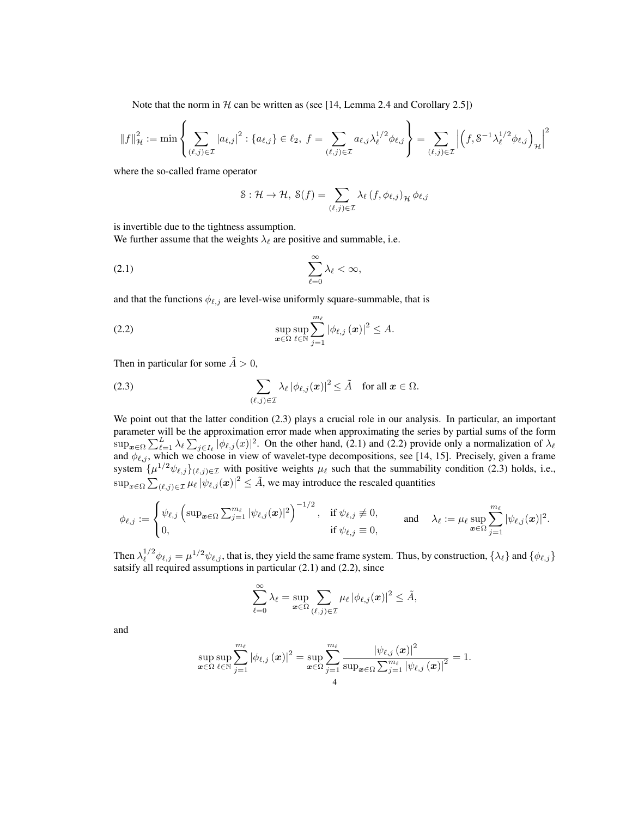Note that the norm in  $H$  can be written as (see [14, Lemma 2.4 and Corollary 2.5])

$$
\left\|f\right\|_{\mathcal{H}}^2:=\min\left\{\sum_{(\ell,j)\in\mathcal{I}}\left|a_{\ell,j}\right|^2: \{a_{\ell,j}\}\in\ell_2,\;f=\sum_{(\ell,j)\in\mathcal{I}}a_{\ell,j}\lambda_{\ell}^{1/2}\phi_{\ell,j}\right\}=\sum_{(\ell,j)\in\mathcal{I}}\left|\left(f,\mathbf{S}^{-1}\lambda_{\ell}^{1/2}\phi_{\ell,j}\right)_{\mathcal{H}}\right|^2
$$

where the so-called frame operator

$$
\mathcal{S}: \mathcal{H} \to \mathcal{H}, \ \mathcal{S}(f) = \sum_{(\ell,j) \in \mathcal{I}} \lambda_{\ell} \left( f, \phi_{\ell,j} \right)_{\mathcal{H}} \phi_{\ell,j}
$$

is invertible due to the tightness assumption.

We further assume that the weights  $\lambda_{\ell}$  are positive and summable, i.e.

$$
(2.1) \t\t \t\t \sum_{\ell=0}^{\infty} \lambda_{\ell} < \infty,
$$

and that the functions  $\phi_{\ell,j}$  are level-wise uniformly square-summable, that is

(2.2) 
$$
\sup_{\boldsymbol{x}\in\Omega}\sup_{\ell\in\mathbb{N}}\sum_{j=1}^{m_{\ell}}|\phi_{\ell,j}(\boldsymbol{x})|^2\leq A.
$$

Then in particular for some  $\tilde{A} > 0$ ,

(2.3) 
$$
\sum_{(\ell,j)\in\mathcal{I}}\lambda_{\ell}|\phi_{\ell,j}(\boldsymbol{x})|^2\leq \tilde{A} \text{ for all } \boldsymbol{x}\in\Omega.
$$

We point out that the latter condition (2.3) plays a crucial role in our analysis. In particular, an important parameter will be the approximation error made when approximating the series by partial sums of the form  $\sup_{x \in \Omega} \sum_{\ell=1}^L \lambda_\ell \sum_{j \in I_\ell} |\phi_{\ell,j}(x)|^2$ . On the other hand, (2.1) and (2.2) provide only a normalization of  $\lambda_\ell$ and  $\phi_{\ell,j}$ , which we choose in view of wavelet-type decompositions, see [14, 15]. Precisely, given a frame system  $\{\mu^{1/2} \psi_{\ell,j}\}_{(\ell,j)\in\mathcal{I}}$  with positive weights  $\mu_{\ell}$  such that the summability condition (2.3) holds, i.e.,  $\sup_{x \in \Omega} \sum_{(\ell,j) \in \mathcal{I}} \mu_{\ell} |\psi_{\ell,j}(\boldsymbol{x})|^2 \leq \tilde{A}$ , we may introduce the rescaled quantities

$$
\phi_{\ell,j}:=\begin{cases}\psi_{\ell,j}\left(\sup_{\boldsymbol x\in\Omega}\sum_{j=1}^{m_\ell}|\psi_{\ell,j}(\boldsymbol x)|^2\right)^{-1/2},&\text{if}\ \psi_{\ell,j}\not\equiv 0,\\0,&\text{if}\ \psi_{\ell,j}\equiv 0,\end{cases}\qquad\text{and}\qquad \lambda_\ell:=\mu_\ell\sup_{\boldsymbol x\in\Omega}\sum_{j=1}^{m_\ell}|\psi_{\ell,j}(\boldsymbol x)|^2.
$$

Then  $\lambda_{\ell}^{1/2} \phi_{\ell,j} = \mu^{1/2} \psi_{\ell,j}$ , that is, they yield the same frame system. Thus, by construction,  $\{\lambda_{\ell}\}\$  and  $\{\phi_{\ell,j}\}\$ satsify all required assumptions in particular (2.1) and (2.2), since

$$
\sum_{\ell=0}^{\infty}\lambda_{\ell}=\sup\limits_{\boldsymbol{x}\in\Omega}\sum_{(\ell,j)\in\mathcal{I}}\mu_{\ell}\left|\phi_{\ell,j}(\boldsymbol{x})\right|^{2}\leq\tilde{A},
$$

and

$$
\sup_{\boldsymbol{x}\in\Omega}\sup_{\ell\in\mathbb{N}}\sum_{j=1}^{m_{\ell}}\left|\phi_{\ell,j}\left(\boldsymbol{x}\right)\right|^{2}=\sup_{\boldsymbol{x}\in\Omega}\sum_{j=1}^{m_{\ell}}\frac{\left|\psi_{\ell,j}\left(\boldsymbol{x}\right)\right|^{2}}{\sup_{\boldsymbol{x}\in\Omega}\sum_{j=1}^{m_{\ell}}\left|\psi_{\ell,j}\left(\boldsymbol{x}\right)\right|^{2}}=1.
$$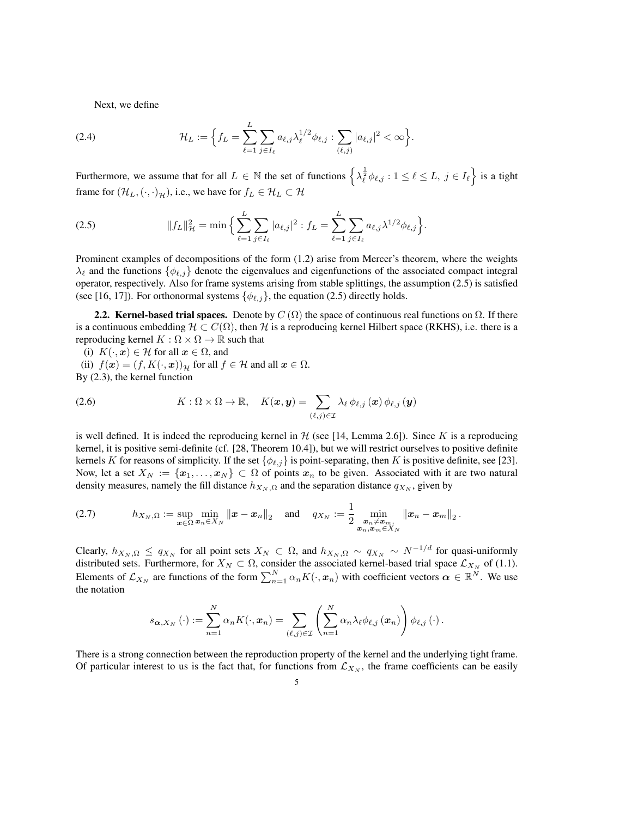Next, we define

(2.4) 
$$
\mathcal{H}_L := \Big\{ f_L = \sum_{\ell=1}^L \sum_{j \in I_\ell} a_{\ell,j} \lambda_\ell^{1/2} \phi_{\ell,j} : \sum_{(\ell,j)} |a_{\ell,j}|^2 < \infty \Big\}.
$$

Furthermore, we assume that for all  $L \in \mathbb{N}$  the set of functions  $\left\{\lambda_{\ell}^{\frac{1}{2}}\phi_{\ell,j}:1\leq\ell\leq L,\ j\in I_{\ell}\right\}$  is a tight frame for  $(\mathcal{H}_L, (\cdot, \cdot)_{\mathcal{H}})$ , i.e., we have for  $f_L \in \mathcal{H}_L \subset \mathcal{H}$ 

(2.5) 
$$
||f_L||_{\mathcal{H}}^2 = \min \Big\{ \sum_{\ell=1}^L \sum_{j \in I_\ell} |a_{\ell,j}|^2 : f_L = \sum_{\ell=1}^L \sum_{j \in I_\ell} a_{\ell,j} \lambda^{1/2} \phi_{\ell,j} \Big\}.
$$

Prominent examples of decompositions of the form (1.2) arise from Mercer's theorem, where the weights  $\lambda_{\ell}$  and the functions  $\{\phi_{\ell,j}\}$  denote the eigenvalues and eigenfunctions of the associated compact integral operator, respectively. Also for frame systems arising from stable splittings, the assumption (2.5) is satisfied (see [16, 17]). For orthonormal systems  $\{\phi_{\ell,j}\}\$ , the equation (2.5) directly holds.

2.2. Kernel-based trial spaces. Denote by  $C(\Omega)$  the space of continuous real functions on  $\Omega$ . If there is a continuous embedding  $H \subset C(\Omega)$ , then *H* is a reproducing kernel Hilbert space (RKHS), i.e. there is a reproducing kernel  $K : \Omega \times \Omega \to \mathbb{R}$  such that

(i)  $K(\cdot, \mathbf{x}) \in \mathcal{H}$  for all  $\mathbf{x} \in \Omega$ , and (ii)  $f(\mathbf{x}) = (f, K(\cdot, \mathbf{x}))_{\mathcal{H}}$  for all  $f \in \mathcal{H}$  and all  $\mathbf{x} \in \Omega$ . By (2.3), the kernel function

(2.6) 
$$
K: \Omega \times \Omega \to \mathbb{R}, \quad K(\boldsymbol{x}, \boldsymbol{y}) = \sum_{(\ell,j) \in \mathcal{I}} \lambda_{\ell} \phi_{\ell,j}(\boldsymbol{x}) \phi_{\ell,j}(\boldsymbol{y})
$$

is well defined. It is indeed the reproducing kernel in  $H$  (see [14, Lemma 2.6]). Since  $K$  is a reproducing kernel, it is positive semi-definite (cf. [28, Theorem 10.4]), but we will restrict ourselves to positive definite kernels *K* for reasons of simplicity. If the set  $\{\phi_{\ell,j}\}$  is point-separating, then *K* is positive definite, see [23]. Now, let a set  $X_N := \{x_1, \ldots, x_N\} \subset \Omega$  of points  $x_n$  to be given. Associated with it are two natural density measures, namely the fill distance  $h_{X_N, \Omega}$  and the separation distance  $q_{X_N}$ , given by

$$
(2.7) \quad h_{X_N,\Omega} := \sup_{{\bm x}\in\Omega} \min_{{\bm x}_n\in X_N} \|{\bm x} - {\bm x}_n\|_2 \quad \text{and} \quad q_{X_N} := \frac{1}{2} \min_{{\bm x}_n\neq {\bm x}_m, \atop {\bm x}_n, {\bm x}_m\in X_N} \|{\bm x}_n - {\bm x}_m\|_2 \,.
$$

Clearly,  $h_{X_N,\Omega} \le q_{X_N}$  for all point sets  $X_N \subset \Omega$ , and  $h_{X_N,\Omega} \sim q_{X_N} \sim N^{-1/d}$  for quasi-uniformly distributed sets. Furthermore, for  $X_N \subset \Omega$ , consider the associated kernel-based trial space  $\mathcal{L}_{X_N}$  of (1.1). Elements of  $\mathcal{L}_{X_N}$  are functions of the form  $\sum_{n=1}^{N} \alpha_n K(\cdot, x_n)$  with coefficient vectors  $\alpha \in \mathbb{R}^N$ . We use the notation

$$
s_{\boldsymbol{\alpha},X_N}(\cdot) := \sum_{n=1}^N \alpha_n K(\cdot,\boldsymbol{x}_n) = \sum_{(\ell,j)\in\mathcal{I}} \left(\sum_{n=1}^N \alpha_n \lambda_\ell \phi_{\ell,j}(\boldsymbol{x}_n)\right) \phi_{\ell,j}(\cdot).
$$

There is a strong connection between the reproduction property of the kernel and the underlying tight frame. Of particular interest to us is the fact that, for functions from  $\mathcal{L}_{X_N}$ , the frame coefficients can be easily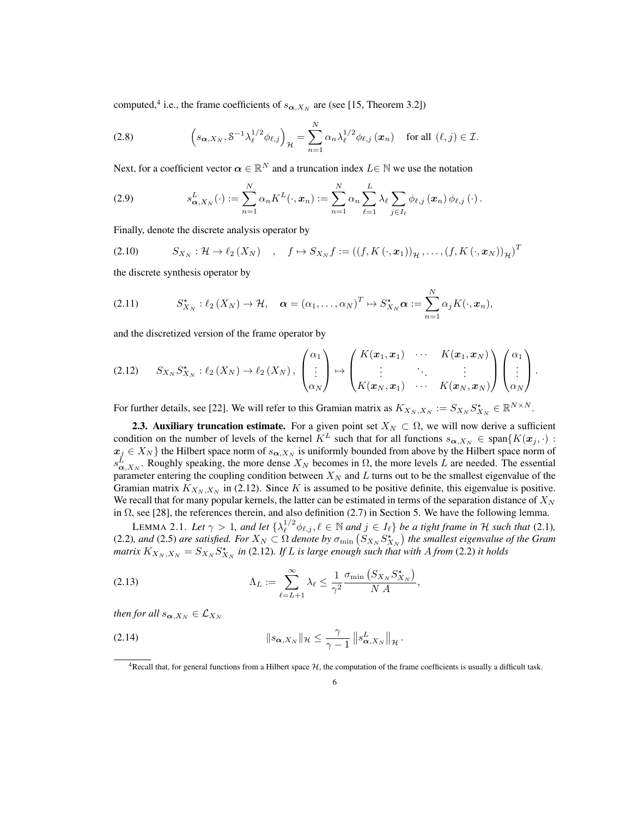computed,<sup>4</sup> i.e., the frame coefficients of  $s_{\alpha,X_N}$  are (see [15, Theorem 3.2])

(2.8) 
$$
\left(s_{\boldsymbol{\alpha},X_N},\delta^{-1}\lambda_{\ell}^{1/2}\phi_{\ell,j}\right)_{\mathcal{H}}=\sum_{n=1}^N\alpha_n\lambda_{\ell}^{1/2}\phi_{\ell,j}\left(\boldsymbol{x}_n\right) \text{ for all } (\ell,j)\in\mathcal{I}.
$$

Next, for a coefficient vector  $\alpha \in \mathbb{R}^N$  and a truncation index  $L \in \mathbb{N}$  we use the notation

(2.9) 
$$
s_{\boldsymbol{\alpha},X_N}^L(\cdot) := \sum_{n=1}^N \alpha_n K^L(\cdot,\boldsymbol{x}_n) := \sum_{n=1}^N \alpha_n \sum_{\ell=1}^L \lambda_\ell \sum_{j \in I_\ell} \phi_{\ell,j}(\boldsymbol{x}_n) \phi_{\ell,j}(\cdot).
$$

Finally, denote the discrete analysis operator by

(2.10) 
$$
S_{X_N}: \mathcal{H} \to \ell_2(X_N) \quad , \quad f \mapsto S_{X_N}f := ((f, K(\cdot, \boldsymbol{x}_1))_{\mathcal{H}}, \dots, (f, K(\cdot, \boldsymbol{x}_N))_{\mathcal{H}})^T
$$

the discrete synthesis operator by

(2.11) 
$$
S_{X_N}^{\star} : \ell_2(X_N) \to \mathcal{H}, \quad \boldsymbol{\alpha} = (\alpha_1, \dots, \alpha_N)^T \mapsto S_{X_N}^{\star} \boldsymbol{\alpha} := \sum_{n=1}^N \alpha_j K(\cdot, \boldsymbol{x}_n),
$$

and the discretized version of the frame operator by

$$
(2.12) \quad S_{X_N} S_{X_N}^* : \ell_2(X_N) \to \ell_2(X_N), \begin{pmatrix} \alpha_1 \\ \vdots \\ \alpha_N \end{pmatrix} \mapsto \begin{pmatrix} K(\boldsymbol{x}_1, \boldsymbol{x}_1) & \cdots & K(\boldsymbol{x}_1, \boldsymbol{x}_N) \\ \vdots & \ddots & \vdots \\ K(\boldsymbol{x}_N, \boldsymbol{x}_1) & \cdots & K(\boldsymbol{x}_N, \boldsymbol{x}_N) \end{pmatrix} \begin{pmatrix} \alpha_1 \\ \vdots \\ \alpha_N \end{pmatrix}.
$$

For further details, see [22]. We will refer to this Gramian matrix as  $K_{X_N,X_N} := S_{X_N} S_{X_N}^* \in \mathbb{R}^{N \times N}$ .

**2.3. Auxiliary truncation estimate.** For a given point set  $X_N \subset \Omega$ , we will now derive a sufficient condition on the number of levels of the kernel  $K^L$  such that for all functions  $s_{\alpha,X_N} \in \text{span}\{K(x_j,\cdot):$  $x_j \in X_N$  *i* the Hilbert space norm of  $s_{\alpha, X_N}$  is uniformly bounded from above by the Hilbert space norm of  $s_{\alpha, X_N}^L$ . Roughly speaking, the more dense  $X_N$  becomes in  $\Omega$ , the more levels *L* are needed. The essential parameter entering the coupling condition between *X<sup>N</sup>* and *L* turns out to be the smallest eigenvalue of the Gramian matrix  $K_{X_N, X_N}$  in (2.12). Since *K* is assumed to be positive definite, this eigenvalue is positive. We recall that for many popular kernels, the latter can be estimated in terms of the separation distance of *X<sup>N</sup>* in  $\Omega$ , see [28], the references therein, and also definition (2.7) in Section 5. We have the following lemma.

LEMMA 2.1. Let  $\gamma > 1$ , and let  $\{\lambda_{\ell}^{1/2} \phi_{\ell,j}, \ell \in \mathbb{N} \text{ and } j \in I_{\ell}\}\$ be a tight frame in  $\mathcal H$  such that (2.1), (2.2), and (2.5) are satisfied. For  $X_N \subset \Omega$  denote by  $\sigma_{\min}$   $(S_{X_N} S_{X_N}^{\star})$  the smallest eigenvalue of the Gram matrix  $K_{X_N,X_N} = S_{X_N} S_{X_N}^*$  in (2.12). If L is large enough such that with A from (2.2) it holds

(2.13) 
$$
\Lambda_L := \sum_{\ell=L+1}^{\infty} \lambda_{\ell} \leq \frac{1}{\gamma^2} \frac{\sigma_{\min} \left( S_{X_N} S_{X_N}^{\star} \right)}{N A},
$$

*then for all*  $s_{\alpha,X_N} \in \mathcal{L}_{X_N}$ 

(2.14) 
$$
\|s_{\boldsymbol{\alpha},X_N}\|_{\mathcal{H}} \leq \frac{\gamma}{\gamma-1} \|s_{\boldsymbol{\alpha},X_N}^L\|_{\mathcal{H}}.
$$

<sup>4</sup>Recall that, for general functions from a Hilbert space *<sup>H</sup>*, the computation of the frame coefficients is usually a difficult task.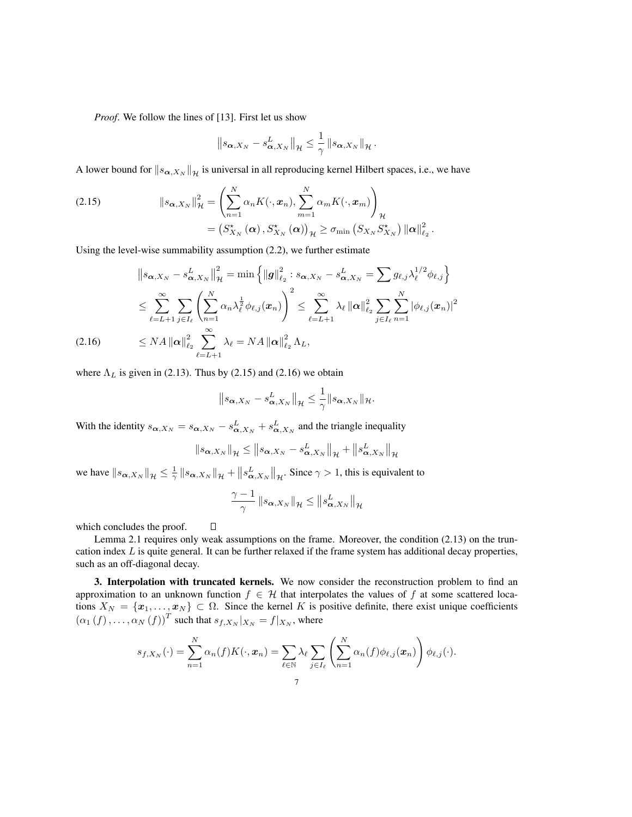*Proof*. We follow the lines of [13]. First let us show

$$
\left\|s_{\boldsymbol{\alpha},X_N}-s_{\boldsymbol{\alpha},X_N}^L\right\|_{\mathcal{H}}\leq \frac{1}{\gamma}\left\|s_{\boldsymbol{\alpha},X_N}\right\|_{\mathcal{H}}.
$$

A lower bound for  $\|s_{\alpha,X_N}\|_{\mathcal{H}}$  is universal in all reproducing kernel Hilbert spaces, i.e., we have

(2.15) 
$$
\|s_{\boldsymbol{\alpha},X_N}\|_{\mathcal{H}}^2 = \left(\sum_{n=1}^N \alpha_n K(\cdot,\boldsymbol{x}_n), \sum_{m=1}^N \alpha_m K(\cdot,\boldsymbol{x}_m)\right)_{\mathcal{H}} = \left(S_{X_N}^{\star}(\boldsymbol{\alpha}), S_{X_N}^{\star}(\boldsymbol{\alpha})\right)_{\mathcal{H}} \geq \sigma_{\min}\left(S_{X_N} S_{X_N}^{\star}\right) \|\boldsymbol{\alpha}\|_{\ell_2}^2.
$$

Using the level-wise summability assumption (2.2), we further estimate

$$
\|s_{\alpha,X_N} - s_{\alpha,X_N}^L\|_{\mathcal{H}}^2 = \min\left\{\|g\|_{\ell_2}^2 : s_{\alpha,X_N} - s_{\alpha,X_N}^L = \sum g_{\ell,j} \lambda_{\ell}^{1/2} \phi_{\ell,j}\right\}
$$
  
\n
$$
\leq \sum_{\ell=L+1}^{\infty} \sum_{j\in I_{\ell}} \left(\sum_{n=1}^N \alpha_n \lambda_{\ell}^{\frac{1}{2}} \phi_{\ell,j}(x_n)\right)^2 \leq \sum_{\ell=L+1}^{\infty} \lambda_{\ell} \|\alpha\|_{\ell_2}^2 \sum_{j\in I_{\ell}} \sum_{n=1}^N |\phi_{\ell,j}(x_n)|^2
$$
  
\n(2.16) 
$$
\leq NA \|\alpha\|_{\ell_2}^2 \sum_{\ell=L+1}^{\infty} \lambda_{\ell} = NA \|\alpha\|_{\ell_2}^2 \Lambda_L,
$$

where  $\Lambda_L$  is given in (2.13). Thus by (2.15) and (2.16) we obtain

 $\Box$ 

$$
\left\|s_{\boldsymbol{\alpha},X_N}-s_{\boldsymbol{\alpha},X_N}^L\right\|_{\mathcal{H}}\leq \frac{1}{\gamma}\|s_{\boldsymbol{\alpha},X_N}\|_{\mathcal{H}}.
$$

With the identity  $s_{\alpha,X_N} = s_{\alpha,X_N} - s_{\alpha,X_N}^L + s_{\alpha,X_N}^L$  and the triangle inequality

$$
\|s_{\boldsymbol{\alpha},X_N}\|_{\mathcal{H}} \le \|s_{\boldsymbol{\alpha},X_N} - s_{\boldsymbol{\alpha},X_N}^L\|_{\mathcal{H}} + \|s_{\boldsymbol{\alpha},X_N}^L\|_{\mathcal{H}}
$$

we have  $\|s_{\alpha,X_N}\|_{\mathcal{H}} \leq \frac{1}{\gamma} \|s_{\alpha,X_N}\|_{\mathcal{H}} + \|s_{\alpha,X_N}^L\|_{\mathcal{H}}$ . Since  $\gamma > 1$ , this is equivalent to

$$
\frac{\gamma-1}{\gamma}\left\|s_{\boldsymbol{\alpha},X_N}\right\|_{\mathcal{H}} \le \left\|s_{\boldsymbol{\alpha},X_N}^L\right\|_{\mathcal{H}}
$$

which concludes the proof.

Lemma 2.1 requires only weak assumptions on the frame. Moreover, the condition (2.13) on the truncation index *L* is quite general. It can be further relaxed if the frame system has additional decay properties, such as an off-diagonal decay.

3. Interpolation with truncated kernels. We now consider the reconstruction problem to find an approximation to an unknown function  $f \in \mathcal{H}$  that interpolates the values of f at some scattered locations  $X_N = \{x_1, \ldots, x_N\} \subset \Omega$ . Since the kernel K is positive definite, there exist unique coefficients  $(\alpha_1(f), \ldots, \alpha_N(f))^T$  such that  $s_{f,X_N}|_{X_N} = f|_{X_N}$ , where

$$
s_{f,X_N}(\cdot) = \sum_{n=1}^N \alpha_n(f) K(\cdot, \boldsymbol{x}_n) = \sum_{\ell \in \mathbb{N}} \lambda_\ell \sum_{j \in I_\ell} \left( \sum_{n=1}^N \alpha_n(f) \phi_{\ell,j}(\boldsymbol{x}_n) \right) \phi_{\ell,j}(\cdot).
$$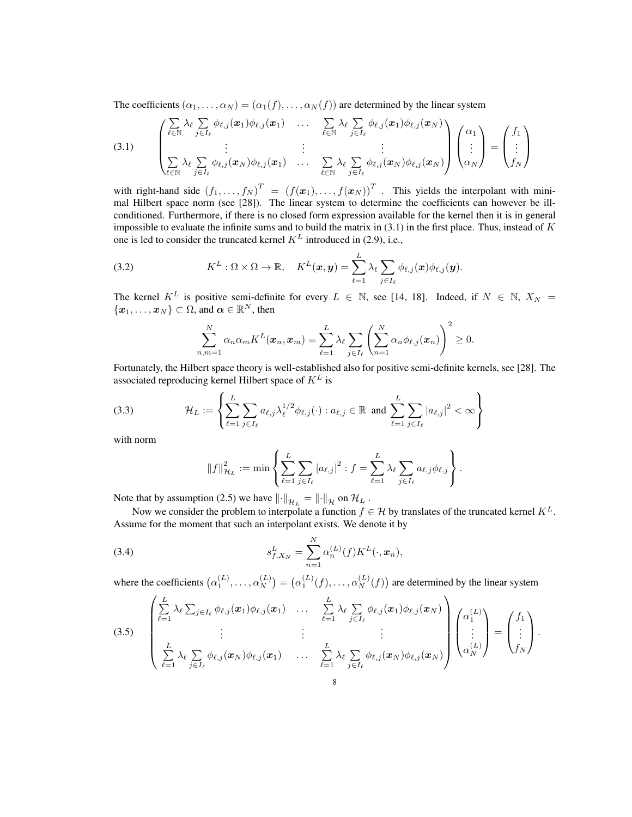The coefficients  $(\alpha_1, \ldots, \alpha_N) = (\alpha_1(f), \ldots, \alpha_N(f))$  are determined by the linear system

(3.1) 
$$
\begin{pmatrix}\n\sum_{\ell \in \mathbb{N}} \lambda_{\ell} \sum_{j \in I_{\ell}} \phi_{\ell,j}(\boldsymbol{x}_{1}) \phi_{\ell,j}(\boldsymbol{x}_{1}) & \dots & \sum_{\ell \in \mathbb{N}} \lambda_{\ell} \sum_{j \in I_{\ell}} \phi_{\ell,j}(\boldsymbol{x}_{1}) \phi_{\ell,j}(\boldsymbol{x}_{N}) \\
\vdots & \vdots & \vdots \\
\sum_{\ell \in \mathbb{N}} \lambda_{\ell} \sum_{j \in I_{\ell}} \phi_{\ell,j}(\boldsymbol{x}_{N}) \phi_{\ell,j}(\boldsymbol{x}_{1}) & \dots & \sum_{\ell \in \mathbb{N}} \lambda_{\ell} \sum_{j \in I_{\ell}} \phi_{\ell,j}(\boldsymbol{x}_{N}) \phi_{\ell,j}(\boldsymbol{x}_{N})\n\end{pmatrix}\n\begin{pmatrix}\n\alpha_{1} \\
\vdots \\
\alpha_{N}\n\end{pmatrix} = \begin{pmatrix}\nf_{1} \\
\vdots \\
f_{N}\n\end{pmatrix}
$$

with right-hand side  $(f_1, \ldots, f_N)^T = (f(x_1), \ldots, f(x_N))^T$ . This yields the interpolant with minimal Hilbert space norm (see [28]). The linear system to determine the coefficients can however be illconditioned. Furthermore, if there is no closed form expression available for the kernel then it is in general impossible to evaluate the infinite sums and to build the matrix in (3.1) in the first place. Thus, instead of *K* one is led to consider the truncated kernel  $K^L$  introduced in (2.9), i.e.,

(3.2) 
$$
K^{L}: \Omega \times \Omega \to \mathbb{R}, \quad K^{L}(\boldsymbol{x}, \boldsymbol{y}) = \sum_{\ell=1}^{L} \lambda_{\ell} \sum_{j \in I_{\ell}} \phi_{\ell, j}(\boldsymbol{x}) \phi_{\ell, j}(\boldsymbol{y}).
$$

The kernel  $K^L$  is positive semi-definite for every  $L \in \mathbb{N}$ , see [14, 18]. Indeed, if  $N \in \mathbb{N}$ ,  $X_N =$  $\{x_1, \ldots, x_N\} \subset \Omega$ , and  $\alpha \in \mathbb{R}^N$ , then

$$
\sum_{n,m=1}^N \alpha_n \alpha_m K^L(\boldsymbol{x}_n, \boldsymbol{x}_m) = \sum_{\ell=1}^L \lambda_\ell \sum_{j \in I_\ell} \left( \sum_{n=1}^N \alpha_n \phi_{\ell,j}(\boldsymbol{x}_n) \right)^2 \geq 0.
$$

Fortunately, the Hilbert space theory is well-established also for positive semi-definite kernels, see [28]. The associated reproducing kernel Hilbert space of *K<sup>L</sup>* is

(3.3) 
$$
\mathcal{H}_L := \left\{ \sum_{\ell=1}^L \sum_{j \in I_\ell} a_{\ell,j} \lambda_\ell^{1/2} \phi_{\ell,j}(\cdot) : a_{\ell,j} \in \mathbb{R} \text{ and } \sum_{\ell=1}^L \sum_{j \in I_\ell} |a_{\ell,j}|^2 < \infty \right\}
$$

with norm

$$
||f||_{\mathcal{H}_{L}}^{2} := \min \left\{ \sum_{\ell=1}^{L} \sum_{j \in I_{\ell}} |a_{\ell,j}|^{2} : f = \sum_{\ell=1}^{L} \lambda_{\ell} \sum_{j \in I_{\ell}} a_{\ell,j} \phi_{\ell,j} \right\}.
$$

Note that by assumption (2.5) we have  $\left\| \cdot \right\|_{\mathcal{H}_L} = \left\| \cdot \right\|_{\mathcal{H}}$  on  $\mathcal{H}_L$ .

Now we consider the problem to interpolate a function  $f \in \mathcal{H}$  by translates of the truncated kernel  $K^L$ . Assume for the moment that such an interpolant exists. We denote it by

(3.4) 
$$
s_{f,X_N}^L = \sum_{n=1}^N \alpha_n^{(L)}(f) K^L(\cdot, x_n),
$$

where the coefficients  $(\alpha_1^{(L)}, \ldots, \alpha_N^{(L)}) = (\alpha_1^{(L)}(f), \ldots, \alpha_N^{(L)}(f))$  are determined by the linear system

$$
(3.5) \quad \begin{pmatrix} \sum_{\ell=1}^{L} \lambda_{\ell} \sum_{j \in I_{\ell}} \phi_{\ell,j}(\boldsymbol{x}_{1}) \phi_{\ell,j}(\boldsymbol{x}_{1}) & \dots & \sum_{\ell=1}^{L} \lambda_{\ell} \sum_{j \in I_{\ell}} \phi_{\ell,j}(\boldsymbol{x}_{1}) \phi_{\ell,j}(\boldsymbol{x}_{N}) \\ \vdots & \vdots & \vdots \\ \sum_{\ell=1}^{L} \lambda_{\ell} \sum_{j \in I_{\ell}} \phi_{\ell,j}(\boldsymbol{x}_{N}) \phi_{\ell,j}(\boldsymbol{x}_{1}) & \dots & \sum_{\ell=1}^{L} \lambda_{\ell} \sum_{j \in I_{\ell}} \phi_{\ell,j}(\boldsymbol{x}_{N}) \phi_{\ell,j}(\boldsymbol{x}_{N}) \end{pmatrix} \begin{pmatrix} \alpha_{1}^{(L)} \\ \vdots \\ \alpha_{N}^{(L)} \end{pmatrix} = \begin{pmatrix} f_{1} \\ \vdots \\ f_{N} \end{pmatrix}.
$$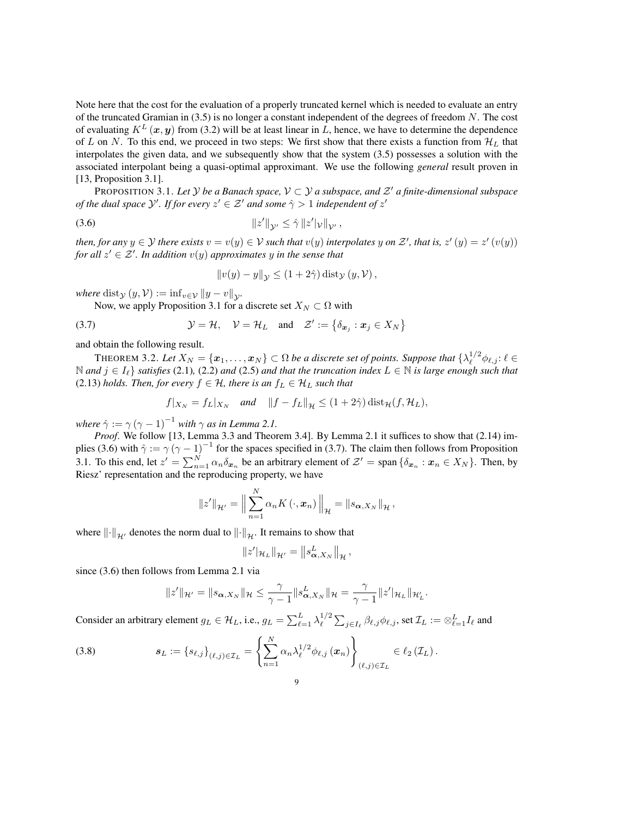Note here that the cost for the evaluation of a properly truncated kernel which is needed to evaluate an entry of the truncated Gramian in (3.5) is no longer a constant independent of the degrees of freedom *N*. The cost of evaluating  $K^L(x, y)$  from (3.2) will be at least linear in L, hence, we have to determine the dependence of *L* on *N*. To this end, we proceed in two steps: We first show that there exists a function from  $\mathcal{H}_L$  that interpolates the given data, and we subsequently show that the system (3.5) possesses a solution with the associated interpolant being a quasi-optimal approximant. We use the following *general* result proven in [13, Proposition 3.1].

PROPOSITION 3.1. Let *Y* be a Banach space,  $V \subset Y$  a subspace, and  $Z<sup>t</sup>$  a finite-dimensional subspace *of the dual space*  $\mathcal{Y}'$ *. If for every*  $z' \in \mathcal{Z}'$  *and some*  $\hat{\gamma} > 1$  *independent of*  $z'$ 

$$
||z'||_{\mathcal{Y}'} \leq \hat{\gamma} ||z'||_{\mathcal{V}'},
$$

then, for any  $y \in Y$  there exists  $v = v(y) \in V$  such that  $v(y)$  interpolates  $y$  on  $Z'$ , that is,  $z'(y) = z'(v(y))$ *for all*  $z' \in \mathcal{Z}'$ *. In addition*  $v(y)$  *approximates*  $y$  *in the sense that* 

$$
||v(y) - y||_{\mathcal{Y}} \le (1 + 2\hat{\gamma}) \operatorname{dist}_{\mathcal{Y}}(y, \mathcal{V}),
$$

*where* dist $y(y, V) := \inf_{v \in V} ||y - v||_{V}$ .

Now, we apply Proposition 3.1 for a discrete set  $X_N \subset \Omega$  with

(3.7) 
$$
\mathcal{Y} = \mathcal{H}, \quad \mathcal{V} = \mathcal{H}_L \text{ and } \mathcal{Z}' := \{\delta_{\mathbf{x}_j} : \mathbf{x}_j \in X_N\}
$$

and obtain the following result.

THEOREM 3.2. Let  $X_N = \{x_1, \ldots, x_N\} \subset \Omega$  be a discrete set of points. Suppose that  $\{\lambda_\ell^{1/2} \phi_{\ell,j} : \ell \in \Omega\}$ N and  $j \in I_{\ell}$  *satisfies* (2.1), (2.2) and (2.5) and that the truncation index  $L \in \mathbb{N}$  *is large enough such that* (2.13) *holds. Then, for every*  $f \in H$ *, there is an*  $f_L \in H_L$  *such that* 

$$
f|_{X_N} = f_L|_{X_N}
$$
 and  $||f - f_L||_{\mathcal{H}} \le (1 + 2\hat{\gamma}) \text{dist}_{\mathcal{H}}(f, \mathcal{H}_L),$ 

*where*  $\hat{\gamma} := \gamma (\gamma - 1)^{-1}$  *with*  $\gamma$  *as in Lemma 2.1.* 

*Proof.* We follow [13, Lemma 3.3 and Theorem 3.4]. By Lemma 2.1 it suffices to show that (2.14) implies (3.6) with  $\hat{\gamma} := \gamma (\gamma - 1)^{-1}$  for the spaces specified in (3.7). The claim then follows from Proposition 3.1. To this end, let  $z' = \sum_{n=1}^{N} \alpha_n \delta_{x_n}$  be an arbitrary element of  $\mathcal{Z}' = \text{span} \{\delta_{x_n} : x_n \in X_N\}$ . Then, by Riesz' representation and the reproducing property, we have

$$
||z'||_{\mathcal{H}'} = \Big\|\sum_{n=1}^N \alpha_n K(\cdot, \boldsymbol{x}_n)\Big\|_{\mathcal{H}} = ||s_{\boldsymbol{\alpha}, X_N}||_{\mathcal{H}},
$$

where  $\left\Vert \cdot\right\Vert_{\mathcal{H}'}$  denotes the norm dual to  $\left\Vert \cdot\right\Vert_{\mathcal{H}'}$ . It remains to show that

$$
||z'||_{\mathcal{H}_L}||_{\mathcal{H}'} = ||s^L_{\alpha,X_N}||_{\mathcal{H}},
$$

since (3.6) then follows from Lemma 2.1 via

$$
||z'||_{\mathcal{H}'}=||s_{\alpha,X_N}||_{\mathcal{H}}\leq \frac{\gamma}{\gamma-1}||s_{\alpha,X_N}^L||_{\mathcal{H}}=\frac{\gamma}{\gamma-1}||z'||_{\mathcal{H}_L}||_{\mathcal{H}_L'}.
$$

Consider an arbitrary element  $g_L \in \mathcal{H}_L$ , i.e.,  $g_L = \sum_{\ell=1}^L \lambda_\ell^{1/2} \sum_{j \in I_\ell} \beta_{\ell,j} \phi_{\ell,j}$ , set  $\mathcal{I}_L := \otimes_{\ell=1}^L I_\ell$  and

(3.8) 
$$
\mathbf{s}_L := \{s_{\ell,j}\}_{{(\ell,j)}\in\mathcal{I}_L} = \left\{ \sum_{n=1}^N \alpha_n \lambda_{\ell}^{1/2} \phi_{\ell,j}(\mathbf{x}_n) \right\}_{{(\ell,j)}\in\mathcal{I}_L} \in \ell_2(\mathcal{I}_L).
$$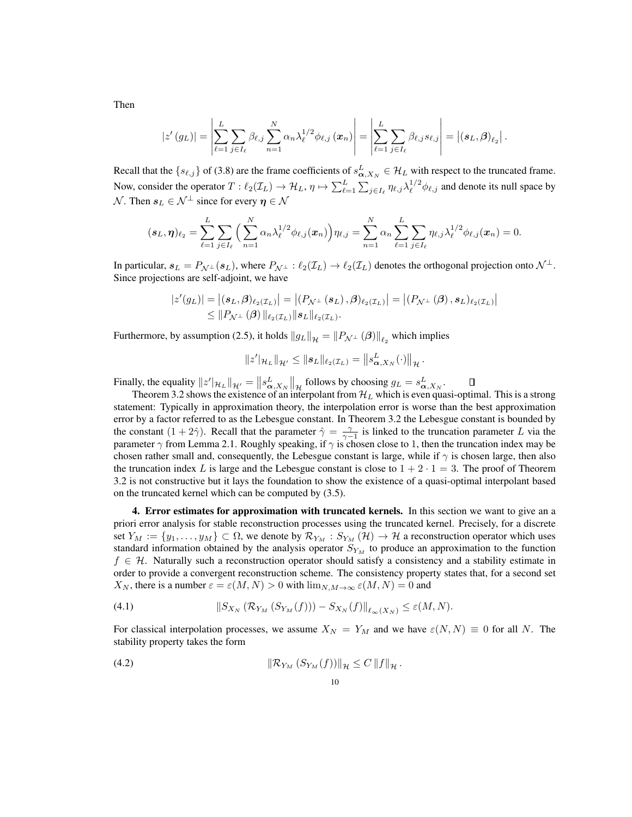$$
|z'(g_L)| = \left|\sum_{\ell=1}^L \sum_{j\in I_\ell} \beta_{\ell,j} \sum_{n=1}^N \alpha_n \lambda_\ell^{1/2} \phi_{\ell,j}(\boldsymbol{x}_n)\right| = \left|\sum_{\ell=1}^L \sum_{j\in I_\ell} \beta_{\ell,j} s_{\ell,j}\right| = \left|(s_L,\boldsymbol{\beta})_{\ell_2}\right|.
$$

Recall that the  $\{s_{\ell,j}\}$  of (3.8) are the frame coefficients of  $s_{\alpha,X_N}^L \in \mathcal{H}_L$  with respect to the truncated frame. Now, consider the operator  $T: \ell_2(\mathcal{I}_L) \to \mathcal{H}_L$ ,  $\eta \mapsto \sum_{\ell=1}^L \sum_{j \in I_\ell} \eta_{\ell,j} \lambda_\ell^{1/2} \phi_{\ell,j}$  and denote its null space by *N*. Then  $s_L \in \mathcal{N}^{\perp}$  since for every  $\eta \in \mathcal{N}$ 

$$
(\mathbf{s}_L, \pmb{\eta})_{\ell_2} = \sum_{\ell=1}^L \sum_{j \in I_\ell} \Big( \sum_{n=1}^N \alpha_n \lambda_\ell^{1/2} \phi_{\ell,j}(\pmb{x}_n) \Big) \eta_{\ell,j} = \sum_{n=1}^N \alpha_n \sum_{\ell=1}^L \sum_{j \in I_\ell} \eta_{\ell,j} \lambda_\ell^{1/2} \phi_{\ell,j}(\pmb{x}_n) = 0.
$$

In particular,  $s_L = P_{\mathcal{N}^\perp}(s_L)$ , where  $P_{\mathcal{N}^\perp} : \ell_2(\mathcal{I}_L) \to \ell_2(\mathcal{I}_L)$  denotes the orthogonal projection onto  $\mathcal{N}^\perp$ . Since projections are self-adjoint, we have

$$
\begin{aligned} |z'(g_L)| &= \left| (s_L, \beta)_{\ell_2(\mathcal{I}_L)} \right| = \left| (P_{\mathcal{N}^\perp} \left( s_L \right), \beta)_{\ell_2(\mathcal{I}_L)} \right| = \left| (P_{\mathcal{N}^\perp} \left( \beta \right), s_L)_{\ell_2(\mathcal{I}_L)} \right| \\ &\leq \| P_{\mathcal{N}^\perp} \left( \beta \right) \|_{\ell_2(\mathcal{I}_L)} \| s_L \|_{\ell_2(\mathcal{I}_L)}. \end{aligned}
$$

Furthermore, by assumption (2.5), it holds  $||g_L||_{\mathcal{H}} = ||P_{\mathcal{N}^{\perp}}(\boldsymbol{\beta})||_{\ell_2}$  which implies

$$
||z'||_{\mathcal{H}_L}||_{\mathcal{H}'} \leq ||s_L||_{\ell_2(\mathcal{I}_L)} = ||s_{\alpha,X_N}^L(\cdot)||_{\mathcal{H}}.
$$

Finally, the equality  $\left\|z'\right\|_{\mathcal{H}_L} = \left\|s_{\text{A},X_N}^L\right\|_{\mathcal{H}}$  follows by choosing  $g_L = s_{\text{A},X_N}^L$ .

Theorem 3.2 shows the existence of an interpolant from  $\mathcal{H}_L$  which is even quasi-optimal. This is a strong statement: Typically in approximation theory, the interpolation error is worse than the best approximation error by a factor referred to as the Lebesgue constant. In Theorem 3.2 the Lebesgue constant is bounded by the constant  $(1 + 2\hat{\gamma})$ . Recall that the parameter  $\hat{\gamma} = \frac{\gamma}{\gamma - 1}$  is linked to the truncation parameter *L* via the parameter  $\gamma$  from Lemma 2.1. Roughly speaking, if  $\gamma$  is chosen close to 1, then the truncation index may be chosen rather small and, consequently, the Lebesgue constant is large, while if  $\gamma$  is chosen large, then also the truncation index L is large and the Lebesgue constant is close to  $1+2 \cdot 1=3$ . The proof of Theorem 3.2 is not constructive but it lays the foundation to show the existence of a quasi-optimal interpolant based on the truncated kernel which can be computed by (3.5).

4. Error estimates for approximation with truncated kernels. In this section we want to give an a priori error analysis for stable reconstruction processes using the truncated kernel. Precisely, for a discrete set  $Y_M := \{y_1, \ldots, y_M\} \subset \Omega$ , we denote by  $\mathcal{R}_{Y_M} : S_{Y_M}(\mathcal{H}) \to \mathcal{H}$  a reconstruction operator which uses standard information obtained by the analysis operator  $S_{Y_M}$  to produce an approximation to the function  $f \in \mathcal{H}$ . Naturally such a reconstruction operator should satisfy a consistency and a stability estimate in order to provide a convergent reconstruction scheme. The consistency property states that, for a second set *X<sub>N</sub>*, there is a number  $\varepsilon = \varepsilon(M,N) > 0$  with  $\lim_{N,M \to \infty} \varepsilon(M,N) = 0$  and

$$
(4.1) \t\t\t||S_{X_N}(\mathcal{R}_{Y_M}(S_{Y_M}(f))) - S_{X_N}(f)||_{\ell_\infty(X_N)} \leq \varepsilon(M,N).
$$

For classical interpolation processes, we assume  $X_N = Y_M$  and we have  $\varepsilon(N,N) \equiv 0$  for all N. The stability property takes the form

$$
\|\mathcal{R}_{Y_M}\left(S_{Y_M}(f)\right)\|_{\mathcal{H}} \leq C \left\|f\right\|_{\mathcal{H}}.
$$

Then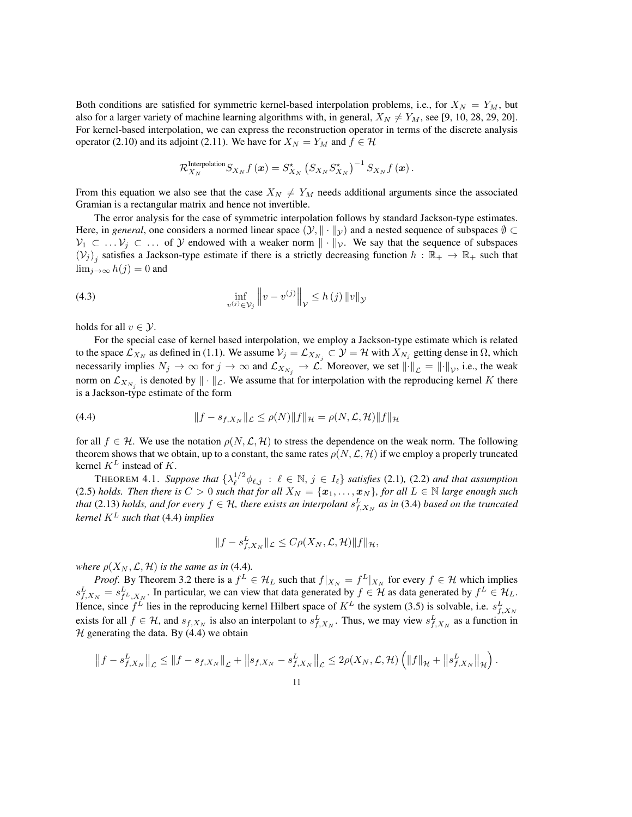Both conditions are satisfied for symmetric kernel-based interpolation problems, i.e., for  $X_N = Y_M$ , but also for a larger variety of machine learning algorithms with, in general,  $X_N \neq Y_M$ , see [9, 10, 28, 29, 20]. For kernel-based interpolation, we can express the reconstruction operator in terms of the discrete analysis operator (2.10) and its adjoint (2.11). We have for  $X_N = Y_M$  and  $f \in \mathcal{H}$ 

$$
\mathcal{R}_{X_N}^{\text{Interpolation}} S_{X_N} f\left(\boldsymbol{x}\right) = S_{X_N}^\star \left(S_{X_N} S_{X_N}^\star\right)^{-1} S_{X_N} f\left(\boldsymbol{x}\right).
$$

From this equation we also see that the case  $X_N \neq Y_M$  needs additional arguments since the associated Gramian is a rectangular matrix and hence not invertible.

The error analysis for the case of symmetric interpolation follows by standard Jackson-type estimates. Here, in *general*, one considers a normed linear space  $(\mathcal{Y}, \|\cdot\|_{\mathcal{Y}})$  and a nested sequence of subspaces  $\emptyset \subset$  $V_1 \subset \ldots V_j \subset \ldots$  of *Y* endowed with a weaker norm  $\|\cdot\|_{\mathcal{V}}$ . We say that the sequence of subspaces  $(V_j)_i$  satisfies a Jackson-type estimate if there is a strictly decreasing function  $h : \mathbb{R}_+ \to \mathbb{R}_+$  such that  $\lim_{i\to\infty} h(j)=0$  and

(4.3) 
$$
\inf_{v^{(j)} \in \mathcal{V}_j} ||v - v^{(j)}||_{\mathcal{V}} \le h(j) ||v||_{\mathcal{Y}}
$$

holds for all  $v \in \mathcal{Y}$ .

For the special case of kernel based interpolation, we employ a Jackson-type estimate which is related to the space  $\mathcal{L}_{X_N}$  as defined in (1.1). We assume  $\mathcal{V}_j = \mathcal{L}_{X_{N_j}} \subset \mathcal{Y} = \mathcal{H}$  with  $X_{N_j}$  getting dense in  $\Omega$ , which necessarily implies  $N_j \to \infty$  for  $j \to \infty$  and  $\mathcal{L}_{X_{N_j}} \to \mathcal{L}$ . Moreover, we set  $\lVert \cdot \rVert_{\mathcal{L}} = \lVert \cdot \rVert_{\mathcal{V}}$ , i.e., the weak norm on  $\mathcal{L}_{X_{N_i}}$  is denoted by  $\|\cdot\|_{\mathcal{L}}$ . We assume that for interpolation with the reproducing kernel *K* there is a Jackson-type estimate of the form

(4.4) 
$$
||f - s_{f,X_N}||_{\mathcal{L}} \le \rho(N) ||f||_{\mathcal{H}} = \rho(N, \mathcal{L}, \mathcal{H}) ||f||_{\mathcal{H}}
$$

for all  $f \in \mathcal{H}$ . We use the notation  $\rho(N, \mathcal{L}, \mathcal{H})$  to stress the dependence on the weak norm. The following theorem shows that we obtain, up to a constant, the same rates  $\rho(N, \mathcal{L}, \mathcal{H})$  if we employ a properly truncated kernel *K<sup>L</sup>* instead of *K*.

THEOREM 4.1. Suppose that  $\{\lambda_{\ell}^{1/2} \phi_{\ell,j} : \ell \in \mathbb{N}, j \in I_{\ell}\}\$  satisfies (2.1), (2.2) and that assumption (2.5) *holds. Then there is*  $C > 0$  *such that for all*  $X_N = \{x_1, \ldots, x_N\}$ *, for all*  $L \in \mathbb{N}$  *large enough such that* (2.13) *holds, and for every*  $f \in H$ *, there exists an interpolant*  $s_{f,X_N}^L$  *as in* (3.4) *based on the truncated kernel K<sup>L</sup> such that* (4.4) *implies*

$$
||f - s_{f,X_N}^L||_{\mathcal{L}} \leq C\rho(X_N, \mathcal{L}, \mathcal{H})||f||_{\mathcal{H}},
$$

*where*  $\rho(X_N, \mathcal{L}, \mathcal{H})$  *is the same as in* (4.4)*.* 

*Proof.* By Theorem 3.2 there is a  $f^L \in \mathcal{H}_L$  such that  $f|_{X_N} = f^L|_{X_N}$  for every  $f \in \mathcal{H}$  which implies  $s_{f,X_N}^L = s_{f^L,X_N}^L$ . In particular, we can view that data generated by  $f \in \mathcal{H}$  as data generated by  $f^L \in \mathcal{H}_L$ . Hence, since  $f^L$  lies in the reproducing kernel Hilbert space of  $K^L$  the system (3.5) is solvable, i.e.  $s^L_{f,X_N}$ exists for all  $f \in H$ , and  $s_{f,X_N}$  is also an interpolant to  $s_{f,X_N}^L$ . Thus, we may view  $s_{f,X_N}^L$  as a function in  $H$  generating the data. By  $(4.4)$  we obtain

$$
\left\|f - s_{f,X_N}^L\right\|_{\mathcal{L}} \leq \|f - s_{f,X_N}\|_{\mathcal{L}} + \left\|s_{f,X_N} - s_{f,X_N}^L\right\|_{\mathcal{L}} \leq 2\rho(X_N, \mathcal{L}, \mathcal{H})\left(\|f\|_{\mathcal{H}} + \left\|s_{f,X_N}^L\right\|_{\mathcal{H}}\right).
$$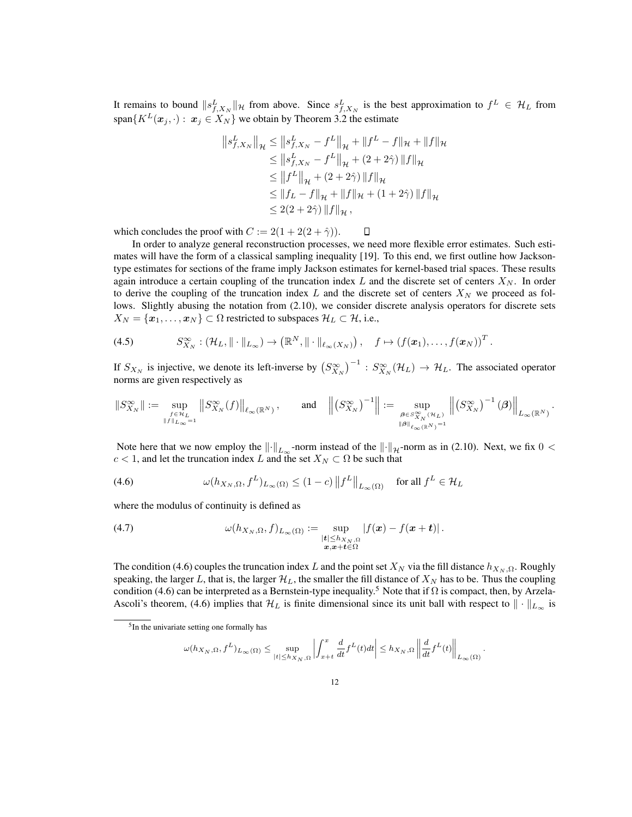It remains to bound  $||s_{f,X_N}^L||_{\mathcal{H}}$  from above. Since  $s_{f,X_N}^L$  is the best approximation to  $f^L \in \mathcal{H}_L$  from span ${K^L(\mathbf{x}_j, \cdot): \mathbf{x}_j \in X_N}$  we obtain by Theorem 3.2 the estimate

$$
\|s_{f,X_N}^L\|_{\mathcal{H}} \le \|s_{f,X_N}^L - f^L\|_{\mathcal{H}} + \|f^L - f\|_{\mathcal{H}} + \|f\|_{\mathcal{H}}
$$
  
\n
$$
\le \|s_{f,X_N}^L - f^L\|_{\mathcal{H}} + (2 + 2\hat{\gamma}) \|f\|_{\mathcal{H}}
$$
  
\n
$$
\le \|f^L\|_{\mathcal{H}} + (2 + 2\hat{\gamma}) \|f\|_{\mathcal{H}}
$$
  
\n
$$
\le \|f_L - f\|_{\mathcal{H}} + \|f\|_{\mathcal{H}} + (1 + 2\hat{\gamma}) \|f\|_{\mathcal{H}}
$$
  
\n
$$
\le 2(2 + 2\hat{\gamma}) \|f\|_{\mathcal{H}},
$$

which concludes the proof with  $C := 2(1 + 2(2 + \hat{\gamma}))$ .  $\Box$ 

In order to analyze general reconstruction processes, we need more flexible error estimates. Such estimates will have the form of a classical sampling inequality [19]. To this end, we first outline how Jacksontype estimates for sections of the frame imply Jackson estimates for kernel-based trial spaces. These results again introduce a certain coupling of the truncation index *L* and the discrete set of centers *X<sup>N</sup>* . In order to derive the coupling of the truncation index  $L$  and the discrete set of centers  $X_N$  we proceed as follows. Slightly abusing the notation from (2.10), we consider discrete analysis operators for discrete sets  $X_N = \{x_1, \ldots, x_N\} \subset \Omega$  restricted to subspaces  $\mathcal{H}_L \subset \mathcal{H}$ , i.e.,

(4.5) 
$$
S_{X_N}^{\infty} : (\mathcal{H}_L, \|\cdot\|_{L_{\infty}}) \to (\mathbb{R}^N, \|\cdot\|_{\ell_{\infty}(X_N)}), \quad f \mapsto (f(\boldsymbol{x}_1), \ldots, f(\boldsymbol{x}_N))^T.
$$

If  $S_{X_N}$  is injective, we denote its left-inverse by  $(S_{X_N}^{\infty})^{-1}$  :  $S_{X_N}^{\infty}(\mathcal{H}_L) \to \mathcal{H}_L$ . The associated operator norms are given respectively as

$$
\|S^\infty_{X_N}\|:=\sup_{\stackrel{f\in\mathcal{H}_L}{\|f\|_{L_\infty}=1}}\left\|S^\infty_{X_N}(f)\right\|_{\ell_\infty(\mathbb{R}^N)},\qquad\textrm{and}\quad\left\|\left(S^\infty_{X_N}\right)^{-1}\right\|:=\sup_{\stackrel{\boldsymbol{\beta}\in S^\infty_{X_N}(\mathcal{H}_L)}{\|\boldsymbol{\beta}\|_{\ell_\infty(\mathbb{R}^N)}=1}}\left\|\left(S^\infty_{X_N}\right)^{-1}\left(\boldsymbol{\beta}\right)\right\|_{L_\infty(\mathbb{R}^N)}
$$

*.*

*.*

Note here that we now employ the  $\|\cdot\|_{L_{\infty}}$ -norm instead of the  $\|\cdot\|_{\mathcal{H}}$ -norm as in (2.10). Next, we fix  $0 < \infty$  $c < 1$ , and let the truncation index *L* and the set  $X_N \subset \Omega$  be such that

(4.6) 
$$
\omega(h_{X_N,\Omega}, f^L)_{L_{\infty}(\Omega)} \le (1-c) \|f^L\|_{L_{\infty}(\Omega)} \quad \text{for all } f^L \in \mathcal{H}_L
$$

where the modulus of continuity is defined as

(4.7) 
$$
\omega(h_{X_N,\Omega},f)_{L_{\infty}(\Omega)} := \sup_{\substack{|\mathbf{t}| \leq h_{X_N,\Omega} \\ \mathbf{x}, \mathbf{x} + \mathbf{t} \in \Omega}} |f(\mathbf{x}) - f(\mathbf{x} + \mathbf{t})|.
$$

The condition (4.6) couples the truncation index *L* and the point set  $X_N$  via the fill distance  $h_{X_N,\Omega}$ . Roughly speaking, the larger L, that is, the larger  $\mathcal{H}_L$ , the smaller the fill distance of  $X_N$  has to be. Thus the coupling condition (4.6) can be interpreted as a Bernstein-type inequality.<sup>5</sup> Note that if  $\Omega$  is compact, then, by Arzela-Ascoli's theorem, (4.6) implies that  $H_L$  is finite dimensional since its unit ball with respect to  $\|\cdot\|_{L_\infty}$  is

$$
\omega(h_{X_N,\Omega},f^L)_{L_\infty(\Omega)}\leq \sup_{|t|\leq h_{X_N,\Omega}}\left|\int_{x+t}^x\frac{d}{dt}f^L(t)dt\right|\leq h_{X_N,\Omega}\left\|\frac{d}{dt}f^L(t)\right\|_{L_\infty(\Omega)}
$$

 $<sup>5</sup>$ In the univariate setting one formally has</sup>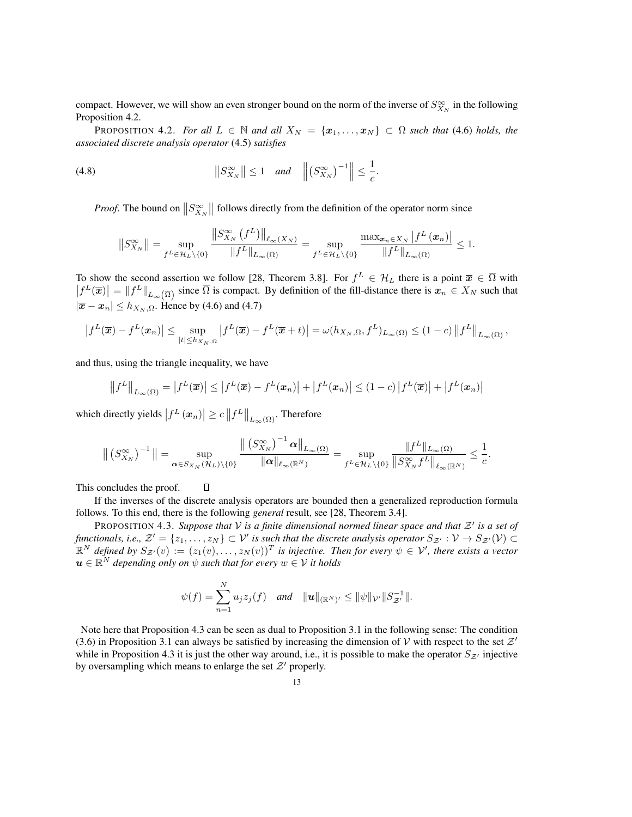compact. However, we will show an even stronger bound on the norm of the inverse of  $S^{\infty}_{X_N}$  in the following Proposition 4.2.

**PROPOSITION 4.2.** For all  $L \in \mathbb{N}$  and all  $X_N = \{x_1, \ldots, x_N\} \subset \Omega$  such that (4.6) holds, the *associated discrete analysis operator* (4.5) *satisfies*

$$
(4.8) \t\t\t ||S_{X_N}^{\infty}|| \le 1 \quad and \quad ||(S_{X_N}^{\infty})^{-1}|| \le \frac{1}{c}.
$$

*Proof.* The bound on  $||S^{\infty}_{X_N}||$  follows directly from the definition of the operator norm since

$$
||S_{X_{N}}^{\infty}|| = \sup_{f^{L} \in \mathcal{H}_{L} \setminus \{0\}} \frac{||S_{X_{N}}^{\infty}(f^{L})||_{\ell_{\infty}(X_{N})}}{||f^{L}||_{L_{\infty}(\Omega)}} = \sup_{f^{L} \in \mathcal{H}_{L} \setminus \{0\}} \frac{\max_{\mathbf{x}_{n} \in X_{N}} |f^{L}(\mathbf{x}_{n})|}{||f^{L}||_{L_{\infty}(\Omega)}} \leq 1.
$$

To show the second assertion we follow [28, Theorem 3.8]. For  $f^L \in \mathcal{H}_L$  there is a point  $\overline{x} \in \overline{\Omega}$  with  $|f^L(\overline{x})| = ||f^L||_{L_{\infty}(\overline{\Omega})}$  since  $\overline{\Omega}$  is compact. By definition of the fill-distance there is  $x_n \in X_N$  such that  $|\overline{x} - x_n| \leq h_{X_N, \Omega}$ . Hence by (4.6) and (4.7)

$$
\left|f^{L}(\overline{\boldsymbol{x}})-f^{L}(\boldsymbol{x}_{n})\right|\leq \sup_{|t|\leq h_{X_{N}},\Omega}\left|f^{L}(\overline{\boldsymbol{x}})-f^{L}(\overline{\boldsymbol{x}}+t)\right|=\omega(h_{X_{N}},\Omega,f^{L})_{L_{\infty}(\Omega)}\leq (1-c)\left\|f^{L}\right\|_{L_{\infty}(\Omega)},
$$

and thus, using the triangle inequality, we have

$$
||f^L||_{L_{\infty}(\Omega)} = |f^L(\overline{x})| \le |f^L(\overline{x}) - f^L(x_n)| + |f^L(x_n)| \le (1-c)|f^L(\overline{x})| + |f^L(x_n)|
$$

which directly yields  $\left|f^L\left(x_n\right)\right| \geq c \left\|f^L\right\|_{L_\infty(\Omega)}.$  Therefore

 $\Box$ 

$$
\left\|\left(S_{X_N}^{\infty}\right)^{-1}\right\|=\sup_{\pmb{\alpha}\in S_{X_N}(\mathcal{H}_L)\backslash\{0\}}\frac{\left\|\left(S_{X_N}^{\infty}\right)^{-1}\pmb{\alpha}\right\|_{L_{\infty}(\Omega)}}{\|\pmb{\alpha}\|_{\ell_{\infty}(\mathbb{R}^N)}}=\sup_{f^L\in\mathcal{H}_L\backslash\{0\}}\frac{\|f^L\|_{L_{\infty}(\Omega)}}{\left\|S_{X_N}^{\infty}f^L\right\|_{\ell_{\infty}(\mathbb{R}^N)}}\leq\frac{1}{c}.
$$

This concludes the proof.

If the inverses of the discrete analysis operators are bounded then a generalized reproduction formula follows. To this end, there is the following *general* result, see [28, Theorem 3.4].

**PROPOSITION 4.3.** *Suppose that*  $V$  *is a finite dimensional normed linear space and that*  $Z'$  *is a set of functionals, i.e.,*  $\mathcal{Z}' = \{z_1, \ldots, z_N\} \subset \mathcal{V}'$  *is such that the discrete analysis operator*  $S_{\mathcal{Z}'} : \mathcal{V} \to S_{\mathcal{Z}'}(\mathcal{V}) \subset \mathcal{V}$  $\mathbb{R}^N$  defined by  $S_{\mathcal{Z}'}(v) := (z_1(v), \ldots, z_N(v))^T$  is injective. Then for every  $\psi \in \mathcal{V}'$ , there exists a vector  $\boldsymbol{u} \in \mathbb{R}^N$  *depending only on*  $\psi$  *such that for every*  $w \in \mathcal{V}$  *it holds* 

$$
\psi(f) = \sum_{n=1}^N u_j z_j(f) \quad \text{and} \quad ||\boldsymbol{u}||_{(\mathbb{R}^N)'} \le ||\psi||_{\mathcal{V}'} ||S_{\mathcal{Z}'}^{-1}||.
$$

Note here that Proposition 4.3 can be seen as dual to Proposition 3.1 in the following sense: The condition (3.6) in Proposition 3.1 can always be satisfied by increasing the dimension of *V* with respect to the set  $Z<sup>0</sup>$ while in Proposition 4.3 it is just the other way around, i.e., it is possible to make the operator  $S_{z}$  injective by oversampling which means to enlarge the set  $Z'$  properly.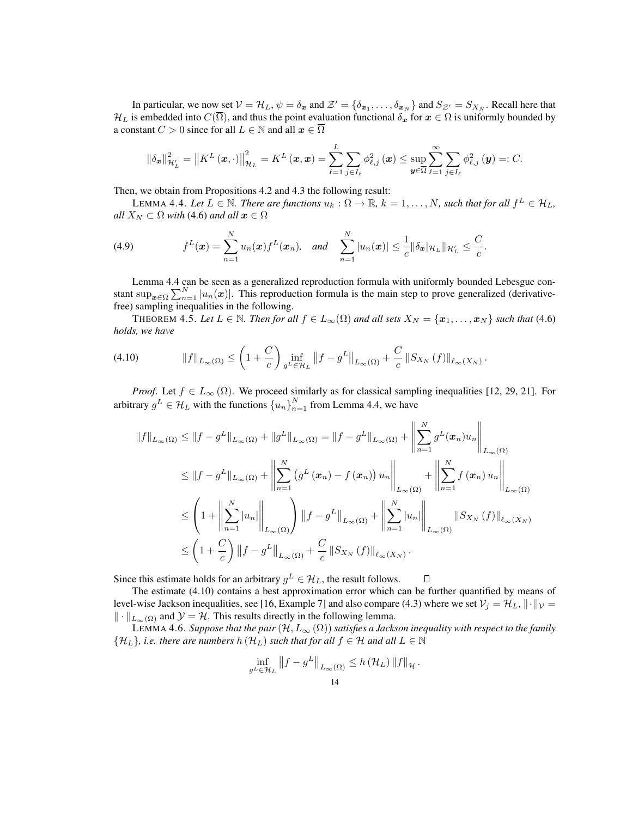In particular, we now set  $V = H_L$ ,  $\psi = \delta_x$  and  $\mathcal{Z}' = {\delta_{x_1}, \ldots, \delta_{x_N}}$  and  $S_{\mathcal{Z}'} = S_{X_N}$ . Recall here that  $H_L$  is embedded into  $C(\overline{\Omega})$ , and thus the point evaluation functional  $\delta_x$  for  $x \in \Omega$  is uniformly bounded by a constant  $C > 0$  since for all  $L \in \mathbb{N}$  and all  $x \in \overline{\Omega}$ 

$$
\left\|\delta_{\boldsymbol{x}}\right\|_{\mathcal{H}_{L}^{\prime}}^{2}=\left\|K^{L}\left(\boldsymbol{x},\cdot\right)\right\|_{\mathcal{H}_{L}}^{2}=K^{L}\left(\boldsymbol{x},\boldsymbol{x}\right)=\sum_{\ell=1}^{L}\sum_{j\in I_{\ell}}\phi_{\ell,j}^{2}\left(\boldsymbol{x}\right)\leq\sup_{\boldsymbol{y}\in\overline{\Omega}}\sum_{\ell=1}^{\infty}\sum_{j\in I_{\ell}}\phi_{\ell,j}^{2}\left(\boldsymbol{y}\right)=:C.
$$

Then, we obtain from Propositions 4.2 and 4.3 the following result:

LEMMA 4.4. Let  $L \in \mathbb{N}$ . There are functions  $u_k : \Omega \to \mathbb{R}$ ,  $k = 1, \ldots, N$ , such that for all  $f^L \in \mathcal{H}_L$ , *all*  $X_N \subset \Omega$  *with* (4.6) *and all*  $x \in \Omega$ 

(4.9) 
$$
f^{L}(\mathbf{x}) = \sum_{n=1}^{N} u_{n}(\mathbf{x}) f^{L}(\mathbf{x}_{n}), \text{ and } \sum_{n=1}^{N} |u_{n}(\mathbf{x})| \leq \frac{1}{c} ||\delta_{\mathbf{x}}|_{\mathcal{H}_{L}} ||_{\mathcal{H}_{L}'} \leq \frac{C}{c}.
$$

Lemma 4.4 can be seen as a generalized reproduction formula with uniformly bounded Lebesgue constant  $\sup_{x \in \Omega} \sum_{n=1}^{N} |u_n(x)|$ . This reproduction formula is the main step to prove generalized (derivativefree) sampling inequalities in the following.

THEOREM 4.5. Let  $L \in \mathbb{N}$ . Then for all  $f \in L_{\infty}(\Omega)$  and all sets  $X_N = \{x_1, \ldots, x_N\}$  such that (4.6) *holds, we have*

$$
(4.10) \t\t\t ||f||_{L_{\infty}(\Omega)} \leq \left(1 + \frac{C}{c}\right) \inf_{g^L \in \mathcal{H}_L} \left\|f - g^L\right\|_{L_{\infty}(\Omega)} + \frac{C}{c} \left\|S_{X_N}\left(f\right)\right\|_{\ell_{\infty}(X_N)}.
$$

*Proof.* Let  $f \in L_{\infty}(\Omega)$ . We proceed similarly as for classical sampling inequalities [12, 29, 21]. For arbitrary  $g^L \in \mathcal{H}_L$  with the functions  $\{u_n\}_{n=1}^N$  from Lemma 4.4, we have

$$
||f||_{L_{\infty}(\Omega)} \leq ||f - g^L||_{L_{\infty}(\Omega)} + ||g^L||_{L_{\infty}(\Omega)} = ||f - g^L||_{L_{\infty}(\Omega)} + \left\| \sum_{n=1}^N g^L(\boldsymbol{x}_n) u_n \right\|_{L_{\infty}(\Omega)}
$$
  
\n
$$
\leq ||f - g^L||_{L_{\infty}(\Omega)} + \left\| \sum_{n=1}^N \left( g^L(\boldsymbol{x}_n) - f(\boldsymbol{x}_n) \right) u_n \right\|_{L_{\infty}(\Omega)} + \left\| \sum_{n=1}^N f(\boldsymbol{x}_n) u_n \right\|_{L_{\infty}(\Omega)}
$$
  
\n
$$
\leq \left( 1 + \left\| \sum_{n=1}^N |u_n| \right\|_{L_{\infty}(\Omega)} \right) ||f - g^L||_{L_{\infty}(\Omega)} + \left\| \sum_{n=1}^N |u_n| \right\|_{L_{\infty}(\Omega)} ||S_{X_N}(f)||_{\ell_{\infty}(X_N)}
$$
  
\n
$$
\leq \left( 1 + \frac{C}{c} \right) ||f - g^L||_{L_{\infty}(\Omega)} + \frac{C}{c} ||S_{X_N}(f)||_{\ell_{\infty}(X_N)}.
$$

Since this estimate holds for an arbitrary  $g^L \in \mathcal{H}_L$ , the result follows. Π

The estimate (4.10) contains a best approximation error which can be further quantified by means of level-wise Jackson inequalities, see [16, Example 7] and also compare (4.3) where we set  $V_j = H_L$ ,  $\|\cdot\|_V =$  $\|\cdot\|_{L_{\infty}(\Omega)}$  and  $\mathcal{Y} = \mathcal{H}$ . This results directly in the following lemma.

LEMMA 4.6. Suppose that the pair  $(H, L_{\infty}(\Omega))$  satisfies a Jackson inequality with respect to the family  $\{H_L\}$ *, i.e. there are numbers*  $h(\mathcal{H}_L)$  *such that for all*  $f \in \mathcal{H}$  *and all*  $L \in \mathbb{N}$ 

$$
\inf_{g^L \in \mathcal{H}_L} \left\| f - g^L \right\|_{L_\infty(\Omega)} \le h \left( \mathcal{H}_L \right) \left\| f \right\|_{\mathcal{H}}.
$$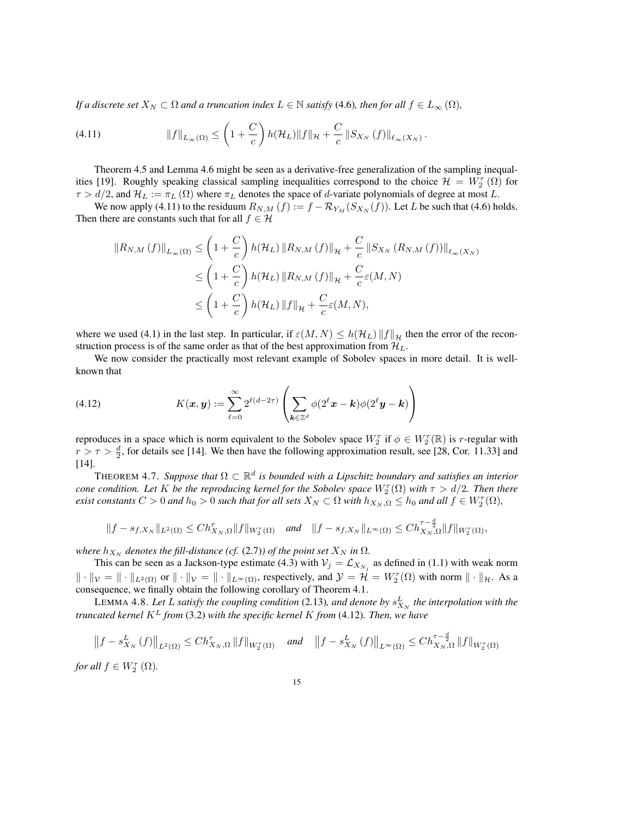*If a discrete set*  $X_N \subset \Omega$  *and a truncation index*  $L \in \mathbb{N}$  *satisfy* (4.6)*, then for all*  $f \in L_\infty(\Omega)$ *,* 

(4.11) 
$$
\|f\|_{L_{\infty}(\Omega)} \leq \left(1+\frac{C}{c}\right)h(\mathcal{H}_L)\|f\|_{\mathcal{H}} + \frac{C}{c}\left\|S_{X_N}\left(f\right)\right\|_{\ell_{\infty}(X_N)}.
$$

Theorem 4.5 and Lemma 4.6 might be seen as a derivative-free generalization of the sampling inequalities [19]. Roughly speaking classical sampling inequalities correspond to the choice  $\mathcal{H} = W_2(\Omega)$  for  $\tau > d/2$ , and  $\mathcal{H}_L := \pi_L(\Omega)$  where  $\pi_L$  denotes the space of *d*-variate polynomials of degree at most *L*.

We now apply (4.11) to the residuum  $R_{N,M}(f) := f - \mathcal{R}_{Y_M}(S_{X_N}(f))$ . Let *L* be such that (4.6) holds. Then there are constants such that for all  $f \in \mathcal{H}$ 

$$
\|R_{N,M}(f)\|_{L_{\infty}(\Omega)} \leq \left(1 + \frac{C}{c}\right) h(\mathcal{H}_L) \|R_{N,M}(f)\|_{\mathcal{H}} + \frac{C}{c} \|S_{X_N}(R_{N,M}(f))\|_{\ell_{\infty}(X_N)}
$$
  

$$
\leq \left(1 + \frac{C}{c}\right) h(\mathcal{H}_L) \|R_{N,M}(f)\|_{\mathcal{H}} + \frac{C}{c}\varepsilon(M,N)
$$
  

$$
\leq \left(1 + \frac{C}{c}\right) h(\mathcal{H}_L) \|f\|_{\mathcal{H}} + \frac{C}{c}\varepsilon(M,N),
$$

where we used (4.1) in the last step. In particular, if  $\varepsilon(M,N) \leq h(\mathcal{H}_L) ||f||_{\mathcal{H}}$  then the error of the reconstruction process is of the same order as that of the best approximation from  $\mathcal{H}_L$ .

We now consider the practically most relevant example of Sobolev spaces in more detail. It is wellknown that

(4.12) 
$$
K(\boldsymbol{x}, \boldsymbol{y}) := \sum_{\ell=0}^{\infty} 2^{\ell(d-2\tau)} \left( \sum_{\boldsymbol{k} \in \mathbb{Z}^d} \phi(2^{\ell} \boldsymbol{x} - \boldsymbol{k}) \phi(2^{\ell} \boldsymbol{y} - \boldsymbol{k}) \right)
$$

reproduces in a space which is norm equivalent to the Sobolev space  $W_2^{\tau}$  if  $\phi \in W_2^{\tau}(\mathbb{R})$  is *r*-regular with  $r > \tau > \frac{d}{2}$ , for details see [14]. We then have the following approximation result, see [28, Cor. 11.33] and [14].

THEOREM 4.7. *Suppose that*  $\Omega \subset \mathbb{R}^d$  *is bounded with a Lipschitz boundary and satisfies an interior cone condition. Let K be the reproducing kernel for the Sobolev space*  $W_2^{\tau}(\Omega)$  *with*  $\tau > d/2$ *. Then there* exist constants  $C>0$  and  $h_0>0$  such that for all sets  $X_N\subset\Omega$  with  $h_{X_N,\Omega}\leq h_0$  and all  $f\in W_2^{\tau}(\Omega)$ ,

$$
||f - s_{f,X_N}||_{L^2(\Omega)} \leq Ch_{X_N,\Omega}^{\tau}||f||_{W_2^{\tau}(\Omega)} \quad \text{and} \quad ||f - s_{f,X_N}||_{L^{\infty}(\Omega)} \leq Ch_{X_N,\Omega}^{\tau-\frac{d}{2}}||f||_{W_2^{\tau}(\Omega)},
$$

*where*  $h_{X_N}$  *denotes the fill-distance (cf.* (2.7)*) of the point set*  $X_N$  *in*  $\Omega$ *.* 

This can be seen as a Jackson-type estimate (4.3) with  $V_j = \mathcal{L}_{X_{N_j}}$  as defined in (1.1) with weak norm  $\|\cdot\|_{\mathcal{V}} = \|\cdot\|_{L^2(\Omega)}$  or  $\|\cdot\|_{\mathcal{V}} = \|\cdot\|_{L^{\infty}(\Omega)}$ , respectively, and  $\mathcal{Y} = \mathcal{H} = W_2^{\tau}(\Omega)$  with norm  $\|\cdot\|_{\mathcal{H}}$ . As a consequence, we finally obtain the following corollary of Theorem 4.1.

LEMMA 4.8. Let L satisfy the coupling condition (2.13), and denote by  $s_{X_N}^L$  the interpolation with the *truncated kernel K<sup>L</sup> from* (3.2) *with the specific kernel K from* (4.12)*. Then, we have*

$$
\left\|f - s_{X_N}^L(f)\right\|_{L^2(\Omega)} \le Ch_{X_N,\Omega}^{\tau} \|f\|_{W_2^{\tau}(\Omega)} \quad \text{and} \quad \left\|f - s_{X_N}^L(f)\right\|_{L^{\infty}(\Omega)} \le Ch_{X_N,\Omega}^{\tau - \frac{d}{2}} \|f\|_{W_2^{\tau}(\Omega)}
$$

*for all*  $f \in W_2^{\tau}(\Omega)$ *.*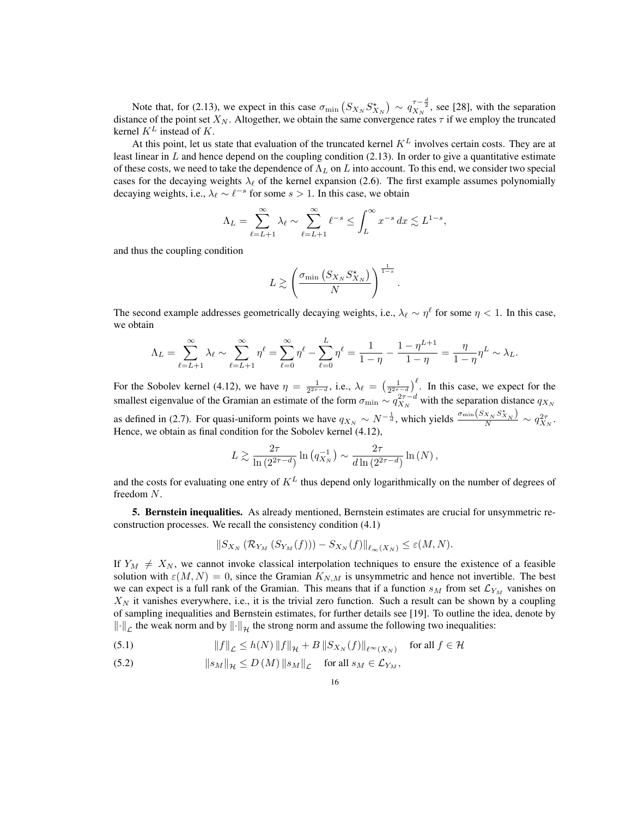Note that, for (2.13), we expect in this case  $\sigma_{\min} (S_{X_N} S_{X_N}^*) \sim q_{X_N}^{\tau-\frac{d}{2}}$ , see [28], with the separation distance of the point set  $X_N$ . Altogether, we obtain the same convergence rates  $\tau$  if we employ the truncated kernel *K<sup>L</sup>* instead of *K*.

At this point, let us state that evaluation of the truncated kernel *K<sup>L</sup>* involves certain costs. They are at least linear in *L* and hence depend on the coupling condition (2.13). In order to give a quantitative estimate of these costs, we need to take the dependence of  $\Lambda_L$  on *L* into account. To this end, we consider two special cases for the decaying weights  $\lambda_{\ell}$  of the kernel expansion (2.6). The first example assumes polynomially decaying weights, i.e.,  $\lambda_{\ell} \sim \ell^{-s}$  for some  $s > 1$ . In this case, we obtain

$$
\Lambda_L = \sum_{\ell=L+1}^{\infty} \lambda_{\ell} \sim \sum_{\ell=L+1}^{\infty} {\ell}^{-s} \le \int_L^{\infty} x^{-s} dx \lesssim L^{1-s},
$$

and thus the coupling condition

$$
L \gtrsim \left(\frac{\sigma_{\min}\left(S_{X_N}S_{X_N}^*\right)}{N}\right)^{\frac{1}{1-s}}.
$$

The second example addresses geometrically decaying weights, i.e.,  $\lambda_{\ell} \sim \eta^{\ell}$  for some  $\eta < 1$ . In this case, we obtain

$$
\Lambda_L = \sum_{\ell=L+1}^{\infty} \lambda_{\ell} \sim \sum_{\ell=L+1}^{\infty} \eta^{\ell} = \sum_{\ell=0}^{\infty} \eta^{\ell} - \sum_{\ell=0}^{L} \eta^{\ell} = \frac{1}{1-\eta} - \frac{1-\eta^{L+1}}{1-\eta} = \frac{\eta}{1-\eta} \eta^L \sim \lambda_L.
$$

For the Sobolev kernel (4.12), we have  $\eta = \frac{1}{2^{2\tau-d}}$ , i.e.,  $\lambda_{\ell} = \left(\frac{1}{2^{2\tau-d}}\right)^{\ell}$ . In this case, we expect for the smallest eigenvalue of the Gramian an estimate of the form  $\sigma_{\min} \sim q_{X_N}^{2\tau-d}$  with the separation distance  $q_{X_N}$ as defined in (2.7). For quasi-uniform points we have  $q_{X_N} \sim N^{-\frac{1}{d}}$ , which yields  $\frac{\sigma_{\min}(S_{X_N} S_{X_N}^*)}{N} \sim q_{X_N}^{2\tau}$ . Hence, we obtain as final condition for the Sobolev kernel (4.12),

$$
L \gtrsim \frac{2\tau}{\ln\left(2^{2\tau-d}\right)}\ln\left(q_{X_N}^{-1}\right) \sim \frac{2\tau}{d\ln\left(2^{2\tau-d}\right)}\ln\left(N\right),\,
$$

and the costs for evaluating one entry of  $K^L$  thus depend only logarithmically on the number of degrees of freedom *N*.

5. Bernstein inequalities. As already mentioned, Bernstein estimates are crucial for unsymmetric reconstruction processes. We recall the consistency condition (4.1)

$$
||S_{X_N}(\mathcal{R}_{Y_M}(S_{Y_M}(f))) - S_{X_N}(f)||_{\ell_\infty(X_N)} \leq \varepsilon(M,N).
$$

If  $Y_M \neq X_N$ , we cannot invoke classical interpolation techniques to ensure the existence of a feasible solution with  $\varepsilon(M,N)=0$ , since the Gramian  $K_{N,M}$  is unsymmetric and hence not invertible. The best we can expect is a full rank of the Gramian. This means that if a function  $s_M$  from set  $\mathcal{L}_{Y_M}$  vanishes on  $X_N$  it vanishes everywhere, i.e., it is the trivial zero function. Such a result can be shown by a coupling of sampling inequalities and Bernstein estimates, for further details see [19]. To outline the idea, denote by  $\left\Vert \cdot\right\Vert_{\mathcal{L}}$  the weak norm and by  $\left\Vert \cdot\right\Vert_{\mathcal{H}}$  the strong norm and assume the following two inequalities:

(5.1) 
$$
||f||_{\mathcal{L}} \leq h(N) ||f||_{\mathcal{H}} + B ||S_{X_N}(f)||_{\ell^{\infty}(X_N)} \text{ for all } f \in \mathcal{H}
$$

(5.2) 
$$
\|s_M\|_{\mathcal{H}} \leq D\left(M\right) \|s_M\|_{\mathcal{L}} \quad \text{for all } s_M \in \mathcal{L}_{Y_M},
$$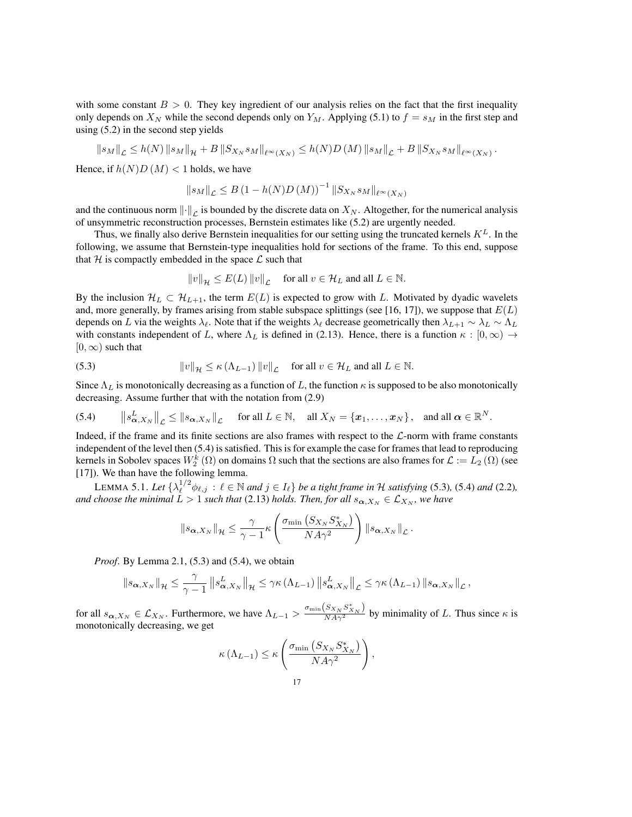with some constant  $B > 0$ . They key ingredient of our analysis relies on the fact that the first inequality only depends on  $X_N$  while the second depends only on  $Y_M$ . Applying (5.1) to  $f = s_M$  in the first step and using (5.2) in the second step yields

$$
||s_M||_{\mathcal{L}} \le h(N) ||s_M||_{\mathcal{H}} + B ||S_{X_N} s_M||_{\ell^{\infty}(X_N)} \le h(N)D\left(M\right) ||s_M||_{\mathcal{L}} + B ||S_{X_N} s_M||_{\ell^{\infty}(X_N)}.
$$

Hence, if  $h(N)D(M) < 1$  holds, we have

$$
||s_M||_{\mathcal{L}} \le B (1 - h(N)D(M))^{-1} ||S_{X_N} s_M||_{\ell^{\infty}(X_N)}
$$

and the continuous norm  $\|\cdot\|_{\mathcal{L}}$  is bounded by the discrete data on  $X_N$ . Altogether, for the numerical analysis of unsymmetric reconstruction processes, Bernstein estimates like (5.2) are urgently needed.

Thus, we finally also derive Bernstein inequalities for our setting using the truncated kernels *KL*. In the following, we assume that Bernstein-type inequalities hold for sections of the frame. To this end, suppose that  $H$  is compactly embedded in the space  $L$  such that

$$
||v||_{\mathcal{H}} \le E(L) ||v||_{\mathcal{L}} \quad \text{for all } v \in \mathcal{H}_L \text{ and all } L \in \mathbb{N}.
$$

By the inclusion  $H_L \subset H_{L+1}$ , the term  $E(L)$  is expected to grow with *L*. Motivated by dyadic wavelets and, more generally, by frames arising from stable subspace splittings (see [16, 17]), we suppose that *E*(*L*) depends on *L* via the weights  $\lambda_\ell$ . Note that if the weights  $\lambda_\ell$  decrease geometrically then  $\lambda_{L+1} \sim \lambda_L \sim \Lambda_L$ with constants independent of *L*, where  $\Lambda_L$  is defined in (2.13). Hence, there is a function  $\kappa : [0, \infty) \to$  $[0, \infty)$  such that

(5.3) 
$$
\|v\|_{\mathcal{H}} \leq \kappa (\Lambda_{L-1}) \|v\|_{\mathcal{L}} \quad \text{for all } v \in \mathcal{H}_L \text{ and all } L \in \mathbb{N}.
$$

Since  $\Lambda_L$  is monotonically decreasing as a function of L, the function  $\kappa$  is supposed to be also monotonically decreasing. Assume further that with the notation from (2.9)

(5.4) 
$$
\|s_{\boldsymbol{\alpha},X_N}^L\|_{\mathcal{L}} \leq \|s_{\boldsymbol{\alpha},X_N}\|_{\mathcal{L}} \quad \text{ for all } L \in \mathbb{N}, \quad \text{all } X_N = \{x_1,\ldots,x_N\}, \quad \text{and all } \boldsymbol{\alpha} \in \mathbb{R}^N.
$$

Indeed, if the frame and its finite sections are also frames with respect to the *L*-norm with frame constants independent of the level then (5.4) is satisfied. This is for example the case for frames that lead to reproducing kernels in Sobolev spaces  $W_2^k(\Omega)$  on domains  $\Omega$  such that the sections are also frames for  $\mathcal{L} := L_2(\Omega)$  (see [17]). We than have the following lemma.

LEMMA 5.1. Let  $\{\lambda_{\ell}^{1/2} \phi_{\ell,j} : \ell \in \mathbb{N} \text{ and } j \in I_{\ell}\}$  be a tight frame in  $\mathcal H$  satisfying (5.3), (5.4) and (2.2)*, and choose the minimal*  $L > 1$  *such that* (2.13) *holds. Then, for all*  $s_{\alpha, X_N} \in \mathcal{L}_{X_N}$ *, we have* 

$$
\|s_{\alpha,X_N}\|_{\mathcal{H}} \leq \frac{\gamma}{\gamma-1} \kappa \left( \frac{\sigma_{\min} \left( S_{X_N} S_{X_N}^* \right)}{N A \gamma^2} \right) \|s_{\alpha,X_N}\|_{\mathcal{L}}.
$$

*Proof.* By Lemma 2.1, (5.3) and (5.4), we obtain

$$
\|s_{\boldsymbol{\alpha},X_N}\|_{\mathcal{H}} \leq \frac{\gamma}{\gamma-1} \|s_{\boldsymbol{\alpha},X_N}^L\|_{\mathcal{H}} \leq \gamma \kappa \left(\Lambda_{L-1}\right) \|s_{\boldsymbol{\alpha},X_N}^L\|_{\mathcal{L}} \leq \gamma \kappa \left(\Lambda_{L-1}\right) \|s_{\boldsymbol{\alpha},X_N}\|_{\mathcal{L}},
$$

for all  $s_{\alpha,X_N} \in \mathcal{L}_{X_N}$ . Furthermore, we have  $\Lambda_{L-1} > \frac{\sigma_{\min}(S_{X_N} S_{X_N}^*)}{NA\gamma^2}$  by minimality of *L*. Thus since  $\kappa$  is monotonically decreasing, we get

$$
\kappa(\Lambda_{L-1}) \leq \kappa \left( \frac{\sigma_{\min} \left( S_{X_N} S_{X_N}^* \right)}{N A \gamma^2} \right),
$$
  
17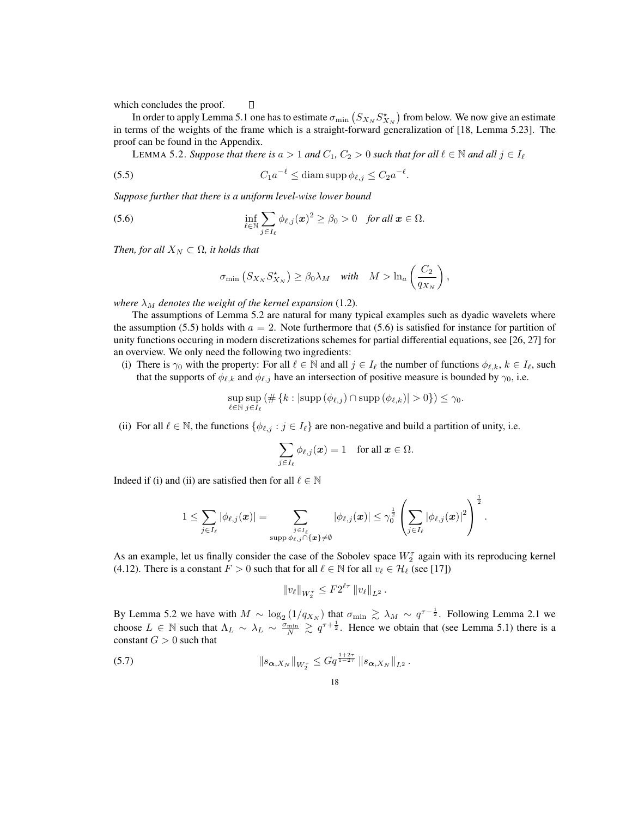which concludes the proof.

In order to apply Lemma 5.1 one has to estimate  $\sigma_{\min}$   $(S_{X_N} S^*_{X_N})$  from below. We now give an estimate in terms of the weights of the frame which is a straight-forward generalization of [18, Lemma 5.23]. The proof can be found in the Appendix.

LEMMA 5.2. Suppose that there is  $a > 1$  and  $C_1$ ,  $C_2 > 0$  such that for all  $l \in \mathbb{N}$  and all  $j \in I_\ell$ 

(5.5) 
$$
C_1 a^{-\ell} \leq \text{diam} \operatorname{supp} \phi_{\ell,j} \leq C_2 a^{-\ell}.
$$

 $\Box$ 

*Suppose further that there is a uniform level-wise lower bound*

(5.6) 
$$
\inf_{\ell \in \mathbb{N}} \sum_{j \in I_{\ell}} \phi_{\ell,j}(\boldsymbol{x})^2 \geq \beta_0 > 0 \text{ for all } \boldsymbol{x} \in \Omega.
$$

*Then, for all*  $X_N \subset \Omega$ *, it holds that* 

$$
\sigma_{\min}\left(S_{X_N}S_{X_N}^{\star}\right) \geq \beta_0 \lambda_M \quad \text{with} \quad M > \ln_a\left(\frac{C_2}{q_{X_N}}\right),
$$

*where*  $\lambda_M$  *denotes the weight of the kernel expansion* (1.2).

The assumptions of Lemma 5.2 are natural for many typical examples such as dyadic wavelets where the assumption (5.5) holds with  $a = 2$ . Note furthermore that (5.6) is satisfied for instance for partition of unity functions occuring in modern discretizations schemes for partial differential equations, see [26, 27] for an overview. We only need the following two ingredients:

(i) There is  $\gamma_0$  with the property: For all  $\ell \in \mathbb{N}$  and all  $j \in I_\ell$  the number of functions  $\phi_{\ell,k}, k \in I_\ell$ , such that the supports of  $\phi_{\ell,k}$  and  $\phi_{\ell,j}$  have an intersection of positive measure is bounded by  $\gamma_0$ , i.e.

$$
\sup_{\ell \in \mathbb{N}} \sup_{j \in I_{\ell}} (\# \left\{ k : |\text{supp} \left( \phi_{\ell,j} \right) \cap \text{supp} \left( \phi_{\ell,k} \right)| > 0 \right\}) \leq \gamma_0.
$$

(ii) For all  $\ell \in \mathbb{N}$ , the functions  $\{\phi_{\ell,j} : j \in I_{\ell}\}$  are non-negative and build a partition of unity, i.e.

$$
\sum_{j\in I_\ell} \phi_{\ell,j}(\boldsymbol{x})=1 \quad \text{for all } \boldsymbol{x}\in \Omega.
$$

Indeed if (i) and (ii) are satisfied then for all  $\ell \in \mathbb{N}$ 

$$
1\leq \sum_{j\in I_\ell} |\phi_{\ell,j}({\boldsymbol x})| = \sum_{\substack{j\in I_\ell \\ \operatorname{supp}\phi_{\ell,j}\cap\{{\boldsymbol x}\}\neq \emptyset}} |\phi_{\ell,j}({\boldsymbol x})| \leq \gamma_0^{\frac{1}{2}} \left(\sum_{j\in I_\ell} |\phi_{\ell,j}({\boldsymbol x})|^2\right)^{\frac{1}{2}}.
$$

As an example, let us finally consider the case of the Sobolev space  $W_2^{\tau}$  again with its reproducing kernel (4.12). There is a constant  $F > 0$  such that for all  $\ell \in \mathbb{N}$  for all  $v_\ell \in \mathcal{H}_\ell$  (see [17])

$$
||v_{\ell}||_{W_2^{\tau}} \leq F2^{\ell \tau} ||v_{\ell}||_{L^2}.
$$

By Lemma 5.2 we have with  $M \sim \log_2 (1/q_{X_N})$  that  $\sigma_{\min} \gtrsim \lambda_M \sim q^{\tau - \frac{1}{2}}$ . Following Lemma 2.1 we choose  $L \in \mathbb{N}$  such that  $\Lambda_L \sim \lambda_L \sim \frac{\sigma_{\min}}{N} \gtrsim q^{\tau + \frac{1}{2}}$ . Hence we obtain that (see Lemma 5.1) there is a constant  $G > 0$  such that

(5.7) 
$$
\|s_{\boldsymbol{\alpha},X_N}\|_{W_2^{\tau}} \leq Gq^{\frac{1+2\tau}{1-2\tau}} \|s_{\boldsymbol{\alpha},X_N}\|_{L^2}.
$$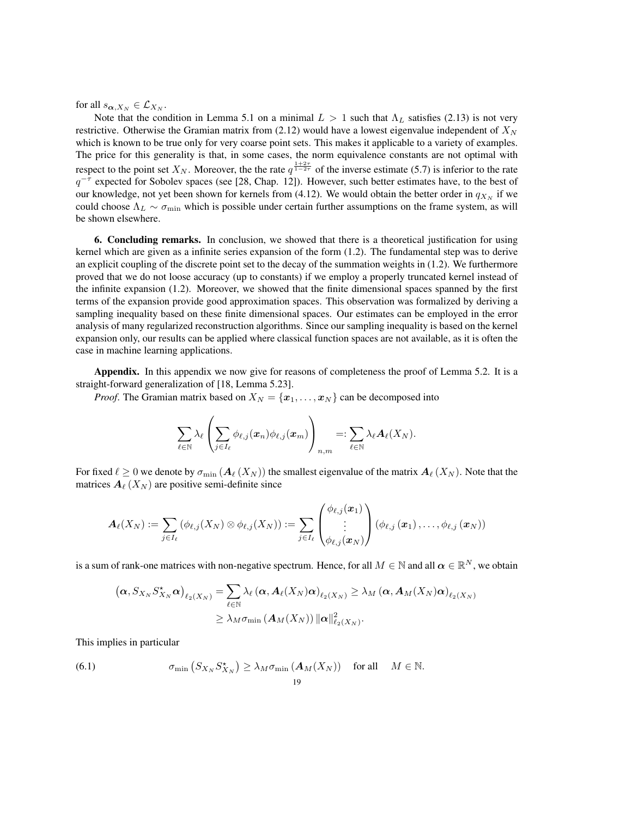for all  $s_{\alpha,X_N} \in \mathcal{L}_{X_N}$ .

Note that the condition in Lemma 5.1 on a minimal  $L > 1$  such that  $\Lambda_L$  satisfies (2.13) is not very restrictive. Otherwise the Gramian matrix from (2.12) would have a lowest eigenvalue independent of *X<sup>N</sup>* which is known to be true only for very coarse point sets. This makes it applicable to a variety of examples. The price for this generality is that, in some cases, the norm equivalence constants are not optimal with respect to the point set  $X_N$ . Moreover, the the rate  $q^{\frac{1+2\tau}{1-2\tau}}$  of the inverse estimate (5.7) is inferior to the rate  $q^{-\tau}$  expected for Sobolev spaces (see [28, Chap. 12]). However, such better estimates have, to the best of our knowledge, not yet been shown for kernels from (4.12). We would obtain the better order in  $q_{X_N}$  if we could choose  $\Lambda_L \sim \sigma_{\min}$  which is possible under certain further assumptions on the frame system, as will be shown elsewhere.

6. Concluding remarks. In conclusion, we showed that there is a theoretical justification for using kernel which are given as a infinite series expansion of the form  $(1.2)$ . The fundamental step was to derive an explicit coupling of the discrete point set to the decay of the summation weights in (1.2). We furthermore proved that we do not loose accuracy (up to constants) if we employ a properly truncated kernel instead of the infinite expansion (1.2). Moreover, we showed that the finite dimensional spaces spanned by the first terms of the expansion provide good approximation spaces. This observation was formalized by deriving a sampling inequality based on these finite dimensional spaces. Our estimates can be employed in the error analysis of many regularized reconstruction algorithms. Since our sampling inequality is based on the kernel expansion only, our results can be applied where classical function spaces are not available, as it is often the case in machine learning applications.

Appendix. In this appendix we now give for reasons of completeness the proof of Lemma 5.2. It is a straight-forward generalization of [18, Lemma 5.23].

*Proof.* The Gramian matrix based on  $X_N = \{x_1, \ldots, x_N\}$  can be decomposed into

$$
\sum_{\ell\in\mathbb{N}}\lambda_\ell\left(\sum_{j\in I_\ell}\phi_{\ell,j}(\pmb{x}_n)\phi_{\ell,j}(\pmb{x}_m)\right)_{n,m}=:\sum_{\ell\in\mathbb{N}}\lambda_\ell\boldsymbol{A}_\ell(X_N).
$$

For fixed  $\ell \ge 0$  we denote by  $\sigma_{\min}(A_\ell(X_N))$  the smallest eigenvalue of the matrix  $A_\ell(X_N)$ . Note that the matrices  $A_\ell$  ( $X_N$ ) are positive semi-definite since

$$
\boldsymbol{A}_{\ell}(X_N) := \sum_{j \in I_{\ell}} \left(\phi_{\ell,j}(X_N) \otimes \phi_{\ell,j}(X_N)\right) := \sum_{j \in I_{\ell}} \begin{pmatrix} \phi_{\ell,j}(\boldsymbol{x}_1) \\ \vdots \\ \phi_{\ell,j}(\boldsymbol{x}_N) \end{pmatrix} \left(\phi_{\ell,j}\left(\boldsymbol{x}_1\right), \ldots, \phi_{\ell,j}\left(\boldsymbol{x}_N\right)\right)
$$

is a sum of rank-one matrices with non-negative spectrum. Hence, for all  $M \in \mathbb{N}$  and all  $\alpha \in \mathbb{R}^N$ , we obtain

$$
(\boldsymbol{\alpha}, S_{X_N} S_{X_N}^{\star} \boldsymbol{\alpha})_{\ell_2(X_N)} = \sum_{\ell \in \mathbb{N}} \lambda_{\ell} (\boldsymbol{\alpha}, \boldsymbol{A}_{\ell}(X_N) \boldsymbol{\alpha})_{\ell_2(X_N)} \ge \lambda_M (\boldsymbol{\alpha}, \boldsymbol{A}_M(X_N) \boldsymbol{\alpha})_{\ell_2(X_N)}
$$

$$
\ge \lambda_M \sigma_{\min} (\boldsymbol{A}_M(X_N)) ||\boldsymbol{\alpha}||_{\ell_2(X_N)}^2.
$$

This implies in particular

(6.1) 
$$
\sigma_{\min}\left(S_{X_N}S_{X_N}^*\right) \ge \lambda_M \sigma_{\min}\left(\mathbf{A}_M(X_N)\right) \text{ for all } M \in \mathbb{N}.
$$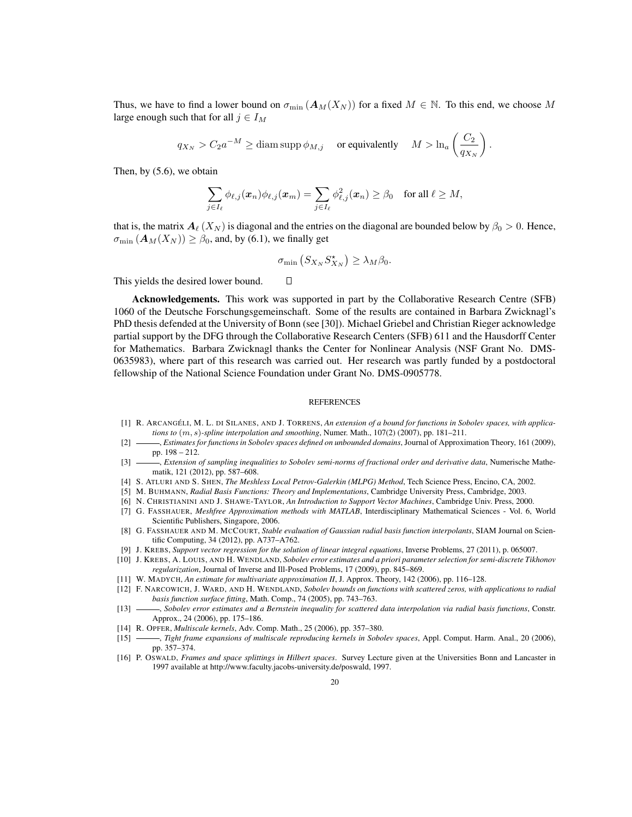Thus, we have to find a lower bound on  $\sigma_{\min}(A_M(X_N))$  for a fixed  $M \in \mathbb{N}$ . To this end, we choose M large enough such that for all  $j \in I_M$ 

$$
q_{X_N} > C_2 a^{-M} \geq \text{diam}\, \text{supp}\, \phi_{M,j} \quad \text{ or equivalently } \quad M > \ln_a \left( \frac{C_2}{q_{X_N}} \right).
$$

Then, by (5.6), we obtain

$$
\sum_{j\in I_{\ell}}\phi_{\ell,j}(\boldsymbol{x}_n)\phi_{\ell,j}(\boldsymbol{x}_m)=\sum_{j\in I_{\ell}}\phi_{\ell,j}^2(\boldsymbol{x}_n)\geq\beta_0\quad\text{for all }\ell\geq M,
$$

that is, the matrix  $A_\ell(X_N)$  is diagonal and the entries on the diagonal are bounded below by  $\beta_0 > 0$ . Hence,  $\sigma_{\min}(A_M(X_N)) \geq \beta_0$ , and, by (6.1), we finally get

$$
\sigma_{\min}\left(S_{X_N}S_{X_N}^{\star}\right) \geq \lambda_M \beta_0.
$$

 $\Box$ 

This yields the desired lower bound.

Acknowledgements. This work was supported in part by the Collaborative Research Centre (SFB) 1060 of the Deutsche Forschungsgemeinschaft. Some of the results are contained in Barbara Zwicknagl's PhD thesis defended at the University of Bonn (see [30]). Michael Griebel and Christian Rieger acknowledge partial support by the DFG through the Collaborative Research Centers (SFB) 611 and the Hausdorff Center for Mathematics. Barbara Zwicknagl thanks the Center for Nonlinear Analysis (NSF Grant No. DMS-0635983), where part of this research was carried out. Her research was partly funded by a postdoctoral fellowship of the National Science Foundation under Grant No. DMS-0905778.

#### **REFERENCES**

- [1] R. ARCANGÉLI, M. L. DI SILANES, AND J. TORRENS, An extension of a bound for functions in Sobolev spaces, with applica*tions to* (*m, s*)*-spline interpolation and smoothing*, Numer. Math., 107(2) (2007), pp. 181–211.
- [2] , *Estimates for functions in Sobolev spaces defined on unbounded domains*, Journal of Approximation Theory, 161 (2009), pp. 198 – 212.
- [3] *------, Extension of sampling inequalities to Sobolev semi-norms of fractional order and derivative data*, Numerische Mathematik, 121 (2012), pp. 587–608.
- [4] S. ATLURI AND S. SHEN, *The Meshless Local Petrov-Galerkin (MLPG) Method*, Tech Science Press, Encino, CA, 2002.
- [5] M. BUHMANN, *Radial Basis Functions: Theory and Implementations*, Cambridge University Press, Cambridge, 2003.
- [6] N. CHRISTIANINI AND J. SHAWE-TAYLOR, *An Introduction to Support Vector Machines*, Cambridge Univ. Press, 2000.
- [7] G. FASSHAUER, *Meshfree Approximation methods with MATLAB*, Interdisciplinary Mathematical Sciences Vol. 6, World Scientific Publishers, Singapore, 2006.
- [8] G. FASSHAUER AND M. MCCOURT, *Stable evaluation of Gaussian radial basis function interpolants*, SIAM Journal on Scientific Computing, 34 (2012), pp. A737–A762.
- [9] J. KREBS, *Support vector regression for the solution of linear integral equations*, Inverse Problems, 27 (2011), p. 065007.
- [10] J. KREBS, A. LOUIS, AND H. WENDLAND, *Sobolev error estimates and a priori parameter selection for semi-discrete Tikhonov regularization*, Journal of Inverse and Ill-Posed Problems, 17 (2009), pp. 845–869.
- [11] W. MADYCH, *An estimate for multivariate approximation II*, J. Approx. Theory, 142 (2006), pp. 116–128.
- [12] F. NARCOWICH, J. WARD, AND H. WENDLAND, *Sobolev bounds on functions with scattered zeros, with applications to radial basis function surface fitting*, Math. Comp., 74 (2005), pp. 743–763.
- [13] , *Sobolev error estimates and a Bernstein inequality for scattered data interpolation via radial basis functions*, Constr. Approx., 24 (2006), pp. 175–186.
- [14] R. OPFER, *Multiscale kernels*, Adv. Comp. Math., 25 (2006), pp. 357–380.
- [15] , *Tight frame expansions of multiscale reproducing kernels in Sobolev spaces*, Appl. Comput. Harm. Anal., 20 (2006), pp. 357–374.
- [16] P. OSWALD, *Frames and space splittings in Hilbert spaces*. Survey Lecture given at the Universities Bonn and Lancaster in 1997 available at http://www.faculty.jacobs-university.de/poswald, 1997.